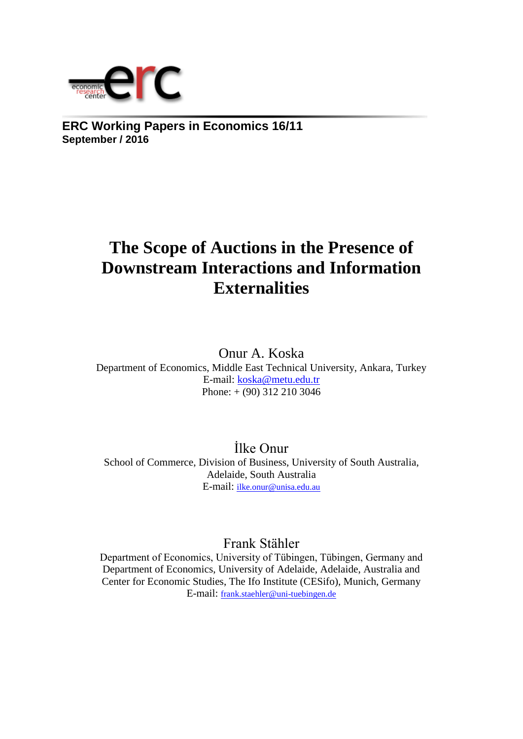

**ERC Working Papers in Economics 16/11 September / 2016**

# **The Scope of Auctions in the Presence of Downstream Interactions and Information Externalities**

Onur A. Koska

Department of Economics, Middle East Technical University, Ankara, Turkey E-mail: [koska@metu.edu.tr](mailto:koska@metu.edu.tr)  Phone: + (90) 312 210 3046

İlke Onur School of Commerce, Division of Business, University of South Australia, Adelaide, South Australia E-mail: [ilke.onur@unisa.edu.au](mailto:ilke.onur@unisa.edu.au)

# Frank Stähler

Department of Economics, University of Tübingen, Tübingen, Germany and Department of Economics, University of Adelaide, Adelaide, Australia and Center for Economic Studies, The Ifo Institute (CESifo), Munich, Germany E-mail: [frank.staehler@uni-tuebingen.de](mailto:frank.staehler@uni-tuebingen.de)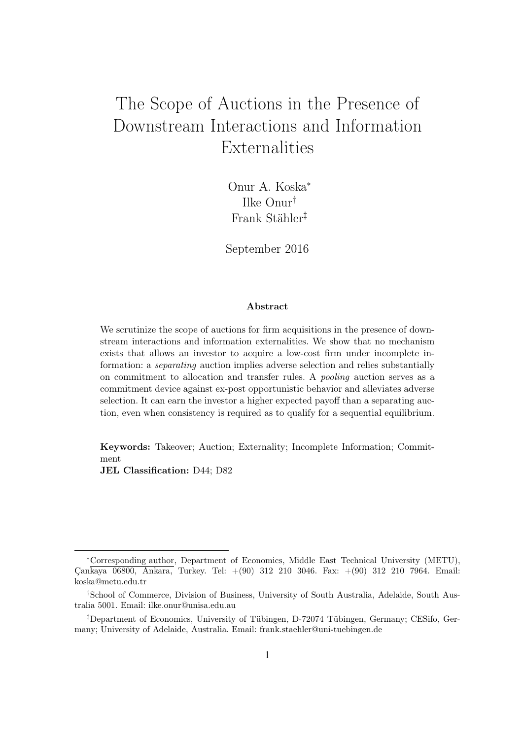# The Scope of Auctions in the Presence of Downstream Interactions and Information Externalities

Onur A. Koska<sup>∗</sup> Ilke Onur† Frank Stähler‡

September 2016

#### Abstract

We scrutinize the scope of auctions for firm acquisitions in the presence of downstream interactions and information externalities. We show that no mechanism exists that allows an investor to acquire a low-cost firm under incomplete information: a separating auction implies adverse selection and relies substantially on commitment to allocation and transfer rules. A pooling auction serves as a commitment device against ex-post opportunistic behavior and alleviates adverse selection. It can earn the investor a higher expected payoff than a separating auction, even when consistency is required as to qualify for a sequential equilibrium.

Keywords: Takeover; Auction; Externality; Incomplete Information; Commitment

JEL Classification: D44; D82

<sup>∗</sup>Corresponding author, Department of Economics, Middle East Technical University (METU), Çankaya 06800, Ankara, Turkey. Tel: +(90) 312 210 3046. Fax: +(90) 312 210 7964. Email: koska@metu.edu.tr

<sup>†</sup>School of Commerce, Division of Business, University of South Australia, Adelaide, South Australia 5001. Email: ilke.onur@unisa.edu.au

<sup>‡</sup>Department of Economics, University of Tübingen, D-72074 Tübingen, Germany; CESifo, Germany; University of Adelaide, Australia. Email: frank.staehler@uni-tuebingen.de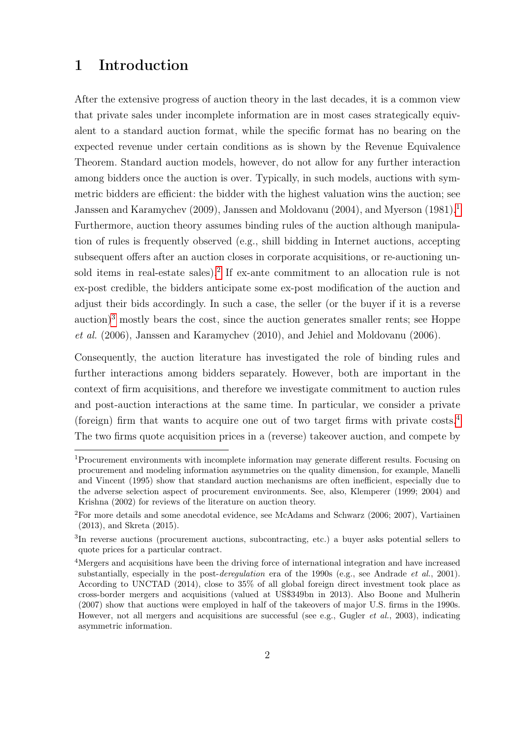# 1 Introduction

After the extensive progress of auction theory in the last decades, it is a common view that private sales under incomplete information are in most cases strategically equivalent to a standard auction format, while the specific format has no bearing on the expected revenue under certain conditions as is shown by the Revenue Equivalence Theorem. Standard auction models, however, do not allow for any further interaction among bidders once the auction is over. Typically, in such models, auctions with symmetric bidders are efficient: the bidder with the highest valuation wins the auction; see Janssen and Karamychev (2009), Janssen and Moldovanu (2004), and Myerson (1981). Furthermore, auction theory assumes binding rules of the auction although manipulation of rules is frequently observed (e.g., shill bidding in Internet auctions, accepting subsequent offers after an auction closes in corporate acquisitions, or re-auctioning unsold items in real-estate sales).<sup>[2]</sup> If ex-ante commitment to an allocation rule is not ex-post credible, the bidders anticipate some ex-post modification of the auction and adjust their bids accordingly. In such a case, the seller (or the buyer if it is a reverse auction) $\frac{3}{5}$  mostly bears the cost, since the auction generates smaller rents; see Hoppe et al. (2006), Janssen and Karamychev (2010), and Jehiel and Moldovanu (2006).

Consequently, the auction literature has investigated the role of binding rules and further interactions among bidders separately. However, both are important in the context of firm acquisitions, and therefore we investigate commitment to auction rules and post-auction interactions at the same time. In particular, we consider a private (foreign) firm that wants to acquire one out of two target firms with private costs.<sup>4</sup> The two firms quote acquisition prices in a (reverse) takeover auction, and compete by

<sup>1</sup>Procurement environments with incomplete information may generate different results. Focusing on procurement and modeling information asymmetries on the quality dimension, for example, Manelli and Vincent (1995) show that standard auction mechanisms are often inefficient, especially due to the adverse selection aspect of procurement environments. See, also, Klemperer (1999; 2004) and Krishna (2002) for reviews of the literature on auction theory.

 ${}^{2}$ For more details and some anecdotal evidence, see McAdams and Schwarz (2006; 2007), Vartiainen (2013), and Skreta (2015).

<sup>&</sup>lt;sup>3</sup>In reverse auctions (procurement auctions, subcontracting, etc.) a buyer asks potential sellers to quote prices for a particular contract.

<sup>&</sup>lt;sup>4</sup>Mergers and acquisitions have been the driving force of international integration and have increased substantially, especially in the post-deregulation era of the 1990s (e.g., see Andrade et al., 2001). According to UNCTAD (2014), close to 35% of all global foreign direct investment took place as cross-border mergers and acquisitions (valued at US\$349bn in 2013). Also Boone and Mulherin (2007) show that auctions were employed in half of the takeovers of major U.S. firms in the 1990s. However, not all mergers and acquisitions are successful (see e.g., Gugler *et al.*, 2003), indicating asymmetric information.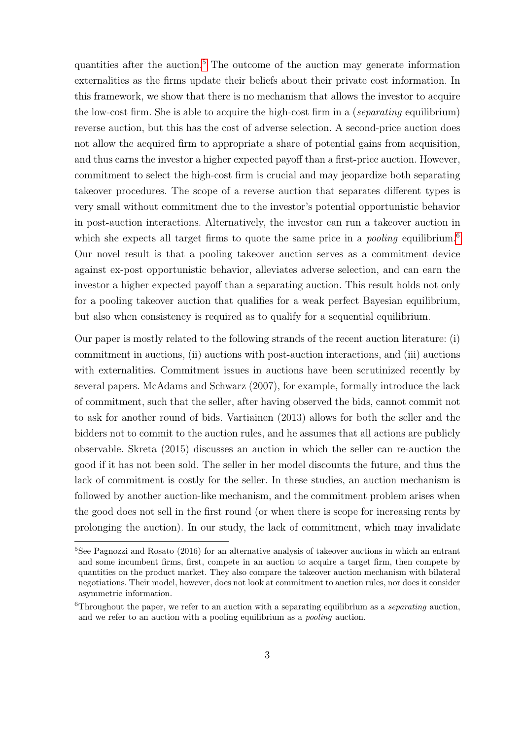quantities after the auction.<sup>5</sup> The outcome of the auction may generate information externalities as the firms update their beliefs about their private cost information. In this framework, we show that there is no mechanism that allows the investor to acquire the low-cost firm. She is able to acquire the high-cost firm in a (separating equilibrium) reverse auction, but this has the cost of adverse selection. A second-price auction does not allow the acquired firm to appropriate a share of potential gains from acquisition, and thus earns the investor a higher expected payoff than a first-price auction. However, commitment to select the high-cost firm is crucial and may jeopardize both separating takeover procedures. The scope of a reverse auction that separates different types is very small without commitment due to the investor's potential opportunistic behavior in post-auction interactions. Alternatively, the investor can run a takeover auction in which she expects all target firms to quote the same price in a *pooling* equilibrium.<sup>6</sup> Our novel result is that a pooling takeover auction serves as a commitment device against ex-post opportunistic behavior, alleviates adverse selection, and can earn the investor a higher expected payoff than a separating auction. This result holds not only for a pooling takeover auction that qualifies for a weak perfect Bayesian equilibrium, but also when consistency is required as to qualify for a sequential equilibrium.

Our paper is mostly related to the following strands of the recent auction literature: (i) commitment in auctions, (ii) auctions with post-auction interactions, and (iii) auctions with externalities. Commitment issues in auctions have been scrutinized recently by several papers. McAdams and Schwarz (2007), for example, formally introduce the lack of commitment, such that the seller, after having observed the bids, cannot commit not to ask for another round of bids. Vartiainen (2013) allows for both the seller and the bidders not to commit to the auction rules, and he assumes that all actions are publicly observable. Skreta (2015) discusses an auction in which the seller can re-auction the good if it has not been sold. The seller in her model discounts the future, and thus the lack of commitment is costly for the seller. In these studies, an auction mechanism is followed by another auction-like mechanism, and the commitment problem arises when the good does not sell in the first round (or when there is scope for increasing rents by prolonging the auction). In our study, the lack of commitment, which may invalidate

<sup>5</sup>See Pagnozzi and Rosato (2016) for an alternative analysis of takeover auctions in which an entrant and some incumbent firms, first, compete in an auction to acquire a target firm, then compete by quantities on the product market. They also compare the takeover auction mechanism with bilateral negotiations. Their model, however, does not look at commitment to auction rules, nor does it consider asymmetric information.

<sup>&</sup>lt;sup>6</sup>Throughout the paper, we refer to an auction with a separating equilibrium as a *separating* auction, and we refer to an auction with a pooling equilibrium as a *pooling* auction.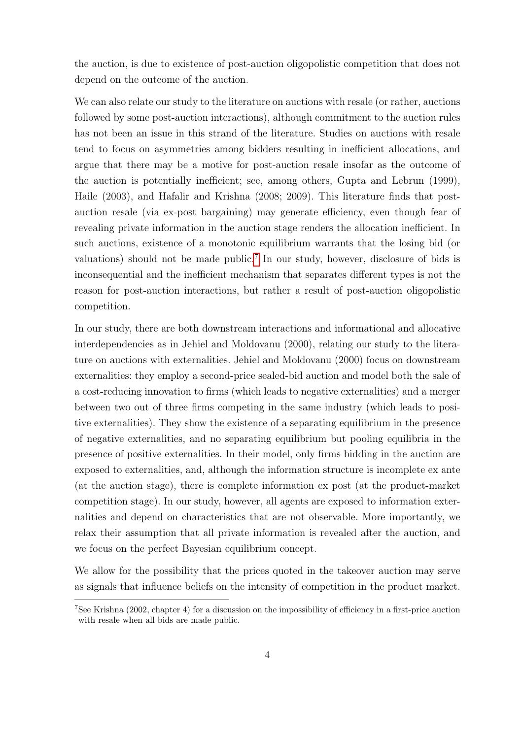the auction, is due to existence of post-auction oligopolistic competition that does not depend on the outcome of the auction.

We can also relate our study to the literature on auctions with resale (or rather, auctions followed by some post-auction interactions), although commitment to the auction rules has not been an issue in this strand of the literature. Studies on auctions with resale tend to focus on asymmetries among bidders resulting in inefficient allocations, and argue that there may be a motive for post-auction resale insofar as the outcome of the auction is potentially inefficient; see, among others, Gupta and Lebrun (1999), Haile (2003), and Hafalir and Krishna (2008; 2009). This literature finds that postauction resale (via ex-post bargaining) may generate efficiency, even though fear of revealing private information in the auction stage renders the allocation inefficient. In such auctions, existence of a monotonic equilibrium warrants that the losing bid (or valuations) should not be made public.<sup>[7]</sup> In our study, however, disclosure of bids is inconsequential and the inefficient mechanism that separates different types is not the reason for post-auction interactions, but rather a result of post-auction oligopolistic competition.

In our study, there are both downstream interactions and informational and allocative interdependencies as in Jehiel and Moldovanu (2000), relating our study to the literature on auctions with externalities. Jehiel and Moldovanu (2000) focus on downstream externalities: they employ a second-price sealed-bid auction and model both the sale of a cost-reducing innovation to firms (which leads to negative externalities) and a merger between two out of three firms competing in the same industry (which leads to positive externalities). They show the existence of a separating equilibrium in the presence of negative externalities, and no separating equilibrium but pooling equilibria in the presence of positive externalities. In their model, only firms bidding in the auction are exposed to externalities, and, although the information structure is incomplete ex ante (at the auction stage), there is complete information ex post (at the product-market competition stage). In our study, however, all agents are exposed to information externalities and depend on characteristics that are not observable. More importantly, we relax their assumption that all private information is revealed after the auction, and we focus on the perfect Bayesian equilibrium concept.

We allow for the possibility that the prices quoted in the takeover auction may serve as signals that influence beliefs on the intensity of competition in the product market.

<sup>7</sup>See Krishna (2002, chapter 4) for a discussion on the impossibility of efficiency in a first-price auction with resale when all bids are made public.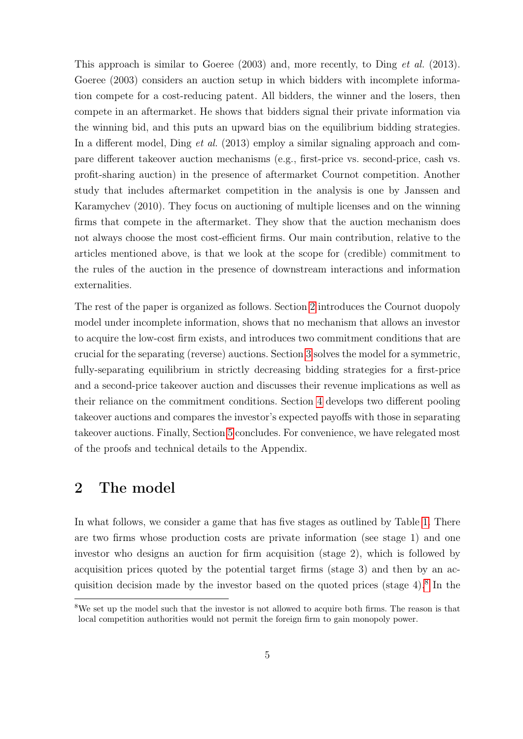This approach is similar to Goeree (2003) and, more recently, to Ding *et al.* (2013). Goeree (2003) considers an auction setup in which bidders with incomplete information compete for a cost-reducing patent. All bidders, the winner and the losers, then compete in an aftermarket. He shows that bidders signal their private information via the winning bid, and this puts an upward bias on the equilibrium bidding strategies. In a different model, Ding et al. (2013) employ a similar signaling approach and compare different takeover auction mechanisms (e.g., first-price vs. second-price, cash vs. profit-sharing auction) in the presence of aftermarket Cournot competition. Another study that includes aftermarket competition in the analysis is one by Janssen and Karamychev (2010). They focus on auctioning of multiple licenses and on the winning firms that compete in the aftermarket. They show that the auction mechanism does not always choose the most cost-efficient firms. Our main contribution, relative to the articles mentioned above, is that we look at the scope for (credible) commitment to the rules of the auction in the presence of downstream interactions and information externalities.

The rest of the paper is organized as follows. Section  $\boxed{2}$  introduces the Cournot duopoly model under incomplete information, shows that no mechanism that allows an investor to acquire the low-cost firm exists, and introduces two commitment conditions that are crucial for the separating (reverse) auctions. Section  $\overline{3}$  solves the model for a symmetric, fully-separating equilibrium in strictly decreasing bidding strategies for a first-price and a second-price takeover auction and discusses their revenue implications as well as their reliance on the commitment conditions. Section  $\frac{1}{4}$  develops two different pooling takeover auctions and compares the investor's expected payoffs with those in separating takeover auctions. Finally, Section 5 concludes. For convenience, we have relegated most of the proofs and technical details to the Appendix.

## 2 The model

In what follows, we consider a game that has five stages as outlined by Table  $\overline{1}$ . There are two firms whose production costs are private information (see stage 1) and one investor who designs an auction for firm acquisition (stage 2), which is followed by acquisition prices quoted by the potential target firms (stage 3) and then by an acquisition decision made by the investor based on the quoted prices (stage 4).<sup>8</sup> In the

<sup>&</sup>lt;sup>8</sup>We set up the model such that the investor is not allowed to acquire both firms. The reason is that local competition authorities would not permit the foreign firm to gain monopoly power.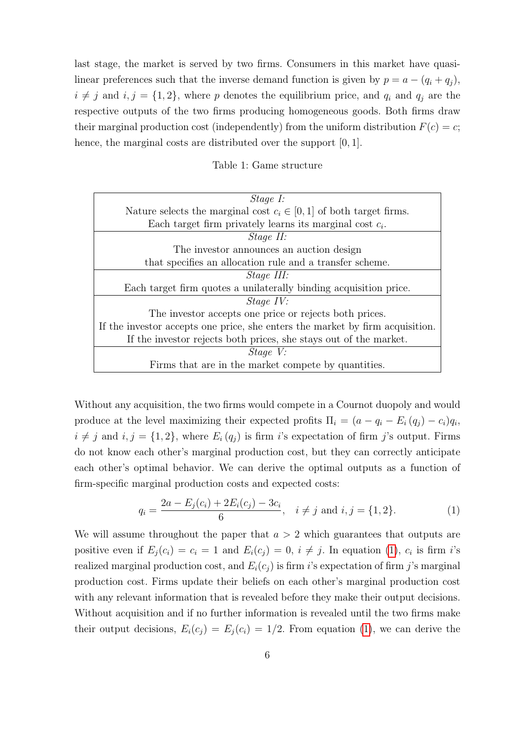last stage, the market is served by two firms. Consumers in this market have quasilinear preferences such that the inverse demand function is given by  $p = a - (q_i + q_j)$ ,  $i \neq j$  and  $i, j = \{1, 2\}$ , where p denotes the equilibrium price, and  $q_i$  and  $q_j$  are the respective outputs of the two firms producing homogeneous goods. Both firms draw their marginal production cost (independently) from the uniform distribution  $F(c) = c$ ; hence, the marginal costs are distributed over the support  $[0, 1]$ .

|  | Table 1: Game structure |
|--|-------------------------|
|  |                         |

| Stage I:                                                                      |  |  |  |
|-------------------------------------------------------------------------------|--|--|--|
| Nature selects the marginal cost $c_i \in [0,1]$ of both target firms.        |  |  |  |
| Each target firm privately learns its marginal cost $c_i$ .                   |  |  |  |
| Stage II:                                                                     |  |  |  |
| The investor announces an auction design                                      |  |  |  |
| that specifies an allocation rule and a transfer scheme.                      |  |  |  |
| Stage III:                                                                    |  |  |  |
| Each target firm quotes a unilaterally binding acquisition price.             |  |  |  |
| Stage IV:                                                                     |  |  |  |
| The investor accepts one price or rejects both prices.                        |  |  |  |
| If the investor accepts one price, she enters the market by firm acquisition. |  |  |  |
| If the investor rejects both prices, she stays out of the market.             |  |  |  |
| Stage V:                                                                      |  |  |  |
| Firms that are in the market compete by quantities.                           |  |  |  |

Without any acquisition, the two firms would compete in a Cournot duopoly and would produce at the level maximizing their expected profits  $\Pi_i = (a - q_i - E_i(q_i) - c_i)q_i$ ,  $i \neq j$  and  $i, j = \{1, 2\}$ , where  $E_i(q_i)$  is firm i's expectation of firm j's output. Firms do not know each other's marginal production cost, but they can correctly anticipate each other's optimal behavior. We can derive the optimal outputs as a function of firm-specific marginal production costs and expected costs:

$$
q_i = \frac{2a - E_j(c_i) + 2E_i(c_j) - 3c_i}{6}, \quad i \neq j \text{ and } i, j = \{1, 2\}.
$$
 (1)

We will assume throughout the paper that  $a > 2$  which guarantees that outputs are positive even if  $E_j(c_i) = c_i = 1$  and  $E_i(c_j) = 0, i \neq j$ . In equation  $\langle 1 \rangle$ ,  $c_i$  is firm i's realized marginal production cost, and  $E_i(c_j)$  is firm i's expectation of firm j's marginal production cost. Firms update their beliefs on each other's marginal production cost with any relevant information that is revealed before they make their output decisions. Without acquisition and if no further information is revealed until the two firms make their output decisions,  $E_i(c_j) = E_j(c_i) = 1/2$ . From equation  $[1]$ , we can derive the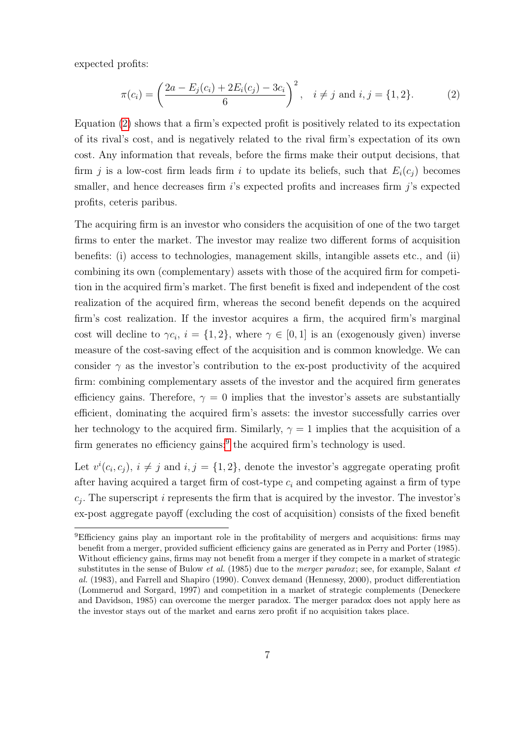expected profits:

$$
\pi(c_i) = \left(\frac{2a - E_j(c_i) + 2E_i(c_j) - 3c_i}{6}\right)^2, \quad i \neq j \text{ and } i, j = \{1, 2\}.
$$
 (2)

Equation  $\mathbb{Z}$  shows that a firm's expected profit is positively related to its expectation of its rival's cost, and is negatively related to the rival firm's expectation of its own cost. Any information that reveals, before the firms make their output decisions, that firm j is a low-cost firm leads firm i to update its beliefs, such that  $E_i(c_i)$  becomes smaller, and hence decreases firm  $i$ 's expected profits and increases firm  $j$ 's expected profits, ceteris paribus.

The acquiring firm is an investor who considers the acquisition of one of the two target firms to enter the market. The investor may realize two different forms of acquisition benefits: (i) access to technologies, management skills, intangible assets etc., and (ii) combining its own (complementary) assets with those of the acquired firm for competition in the acquired firm's market. The first benefit is fixed and independent of the cost realization of the acquired firm, whereas the second benefit depends on the acquired firm's cost realization. If the investor acquires a firm, the acquired firm's marginal cost will decline to  $\gamma c_i$ ,  $i = \{1, 2\}$ , where  $\gamma \in [0, 1]$  is an (exogenously given) inverse measure of the cost-saving effect of the acquisition and is common knowledge. We can consider  $\gamma$  as the investor's contribution to the ex-post productivity of the acquired firm: combining complementary assets of the investor and the acquired firm generates efficiency gains. Therefore,  $\gamma = 0$  implies that the investor's assets are substantially efficient, dominating the acquired firm's assets: the investor successfully carries over her technology to the acquired firm. Similarly,  $\gamma = 1$  implies that the acquisition of a firm generates no efficiency gains<sup>[9]</sup> the acquired firm's technology is used.

Let  $v^i(c_i, c_j)$ ,  $i \neq j$  and  $i, j = \{1, 2\}$ , denote the investor's aggregate operating profit after having acquired a target firm of cost-type  $c_i$  and competing against a firm of type  $c_j$ . The superscript i represents the firm that is acquired by the investor. The investor's ex-post aggregate payoff (excluding the cost of acquisition) consists of the fixed benefit

<sup>9</sup>Efficiency gains play an important role in the profitability of mergers and acquisitions: firms may benefit from a merger, provided sufficient efficiency gains are generated as in Perry and Porter (1985). Without efficiency gains, firms may not benefit from a merger if they compete in a market of strategic substitutes in the sense of Bulow *et al.* (1985) due to the *merger paradox*; see, for example, Salant *et* al. (1983), and Farrell and Shapiro (1990). Convex demand (Hennessy, 2000), product differentiation (Lommerud and Sorgard, 1997) and competition in a market of strategic complements (Deneckere and Davidson, 1985) can overcome the merger paradox. The merger paradox does not apply here as the investor stays out of the market and earns zero profit if no acquisition takes place.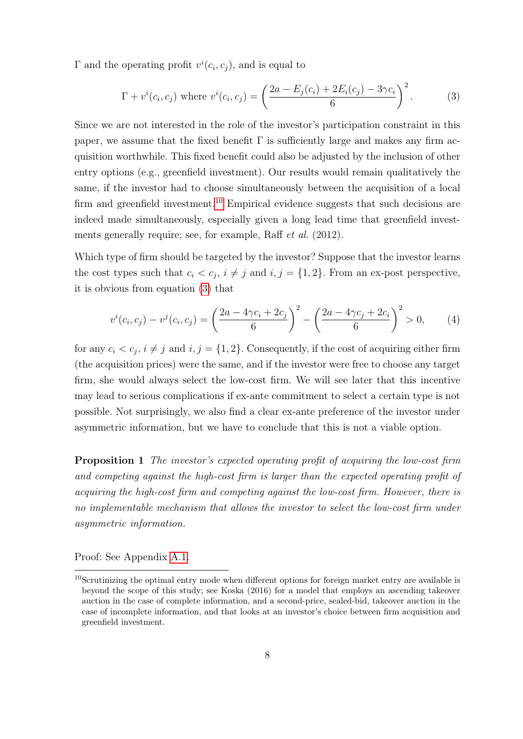Γ and the operating profit  $v^i(c_i, c_j)$ , and is equal to

$$
\Gamma + v^{i}(c_{i}, c_{j}) \text{ where } v^{i}(c_{i}, c_{j}) = \left(\frac{2a - E_{j}(c_{i}) + 2E_{i}(c_{j}) - 3\gamma c_{i}}{6}\right)^{2}.
$$
 (3)

Since we are not interested in the role of the investor's participation constraint in this paper, we assume that the fixed benefit  $\Gamma$  is sufficiently large and makes any firm acquisition worthwhile. This fixed benefit could also be adjusted by the inclusion of other entry options (e.g., greenfield investment). Our results would remain qualitatively the same, if the investor had to choose simultaneously between the acquisition of a local firm and greenfield investment.<sup>[10]</sup> Empirical evidence suggests that such decisions are indeed made simultaneously, especially given a long lead time that greenfield investments generally require; see, for example, Raff *et al.* (2012).

Which type of firm should be targeted by the investor? Suppose that the investor learns the cost types such that  $c_i < c_j$ ,  $i \neq j$  and  $i, j = \{1, 2\}$ . From an ex-post perspective, it is obvious from equation  $(3)$  that

$$
v^{i}(c_{i}, c_{j}) - v^{j}(c_{i}, c_{j}) = \left(\frac{2a - 4\gamma c_{i} + 2c_{j}}{6}\right)^{2} - \left(\frac{2a - 4\gamma c_{j} + 2c_{i}}{6}\right)^{2} > 0, \qquad (4)
$$

for any  $c_i < c_j$ ,  $i \neq j$  and  $i, j = \{1, 2\}$ . Consequently, if the cost of acquiring either firm (the acquisition prices) were the same, and if the investor were free to choose any target firm, she would always select the low-cost firm. We will see later that this incentive may lead to serious complications if ex-ante commitment to select a certain type is not possible. Not surprisingly, we also find a clear ex-ante preference of the investor under asymmetric information, but we have to conclude that this is not a viable option.

**Proposition 1** The investor's expected operating profit of acquiring the low-cost firm and competing against the high-cost firm is larger than the expected operating profit of acquiring the high-cost firm and competing against the low-cost firm. However, there is no implementable mechanism that allows the investor to select the low-cost firm under asymmetric information.

Proof: See Appendix A.1.

 $10$ Scrutinizing the optimal entry mode when different options for foreign market entry are available is beyond the scope of this study; see Koska (2016) for a model that employs an ascending takeover auction in the case of complete information, and a second-price, sealed-bid, takeover auction in the case of incomplete information, and that looks at an investor's choice between firm acquisition and greenfield investment.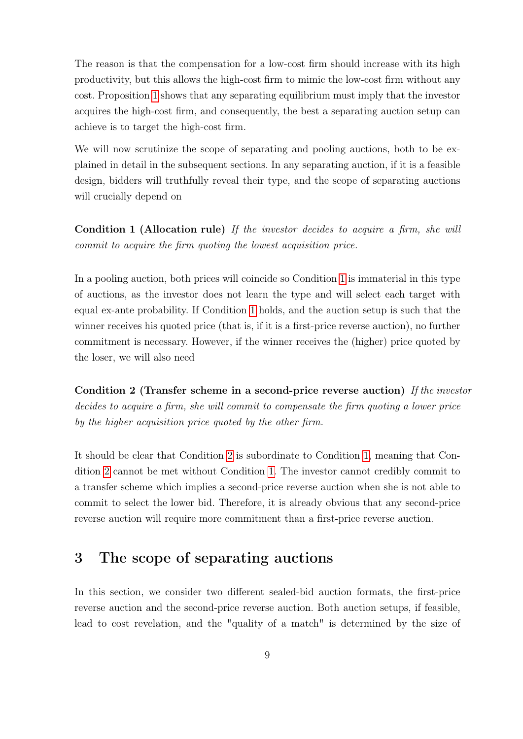The reason is that the compensation for a low-cost firm should increase with its high productivity, but this allows the high-cost firm to mimic the low-cost firm without any cost. Proposition  $\prod$  shows that any separating equilibrium must imply that the investor acquires the high-cost firm, and consequently, the best a separating auction setup can achieve is to target the high-cost firm.

We will now scrutinize the scope of separating and pooling auctions, both to be explained in detail in the subsequent sections. In any separating auction, if it is a feasible design, bidders will truthfully reveal their type, and the scope of separating auctions will crucially depend on

Condition 1 (Allocation rule) If the investor decides to acquire a firm, she will commit to acquire the firm quoting the lowest acquisition price.

In a pooling auction, both prices will coincide so Condition  $\overline{1}$  is immaterial in this type of auctions, as the investor does not learn the type and will select each target with equal ex-ante probability. If Condition  $|1|$  holds, and the auction setup is such that the winner receives his quoted price (that is, if it is a first-price reverse auction), no further commitment is necessary. However, if the winner receives the (higher) price quoted by the loser, we will also need

Condition 2 (Transfer scheme in a second-price reverse auction) If the investor decides to acquire a firm, she will commit to compensate the firm quoting a lower price by the higher acquisition price quoted by the other firm.

It should be clear that Condition  $\boxed{2}$  is subordinate to Condition  $\boxed{1}$ , meaning that Condition  $\boxed{2}$  cannot be met without Condition  $\boxed{1}$ . The investor cannot credibly commit to a transfer scheme which implies a second-price reverse auction when she is not able to commit to select the lower bid. Therefore, it is already obvious that any second-price reverse auction will require more commitment than a first-price reverse auction.

# 3 The scope of separating auctions

In this section, we consider two different sealed-bid auction formats, the first-price reverse auction and the second-price reverse auction. Both auction setups, if feasible, lead to cost revelation, and the "quality of a match" is determined by the size of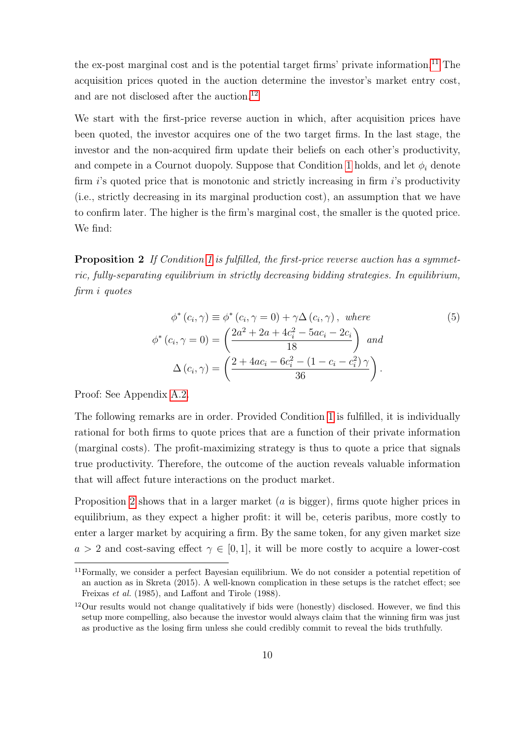the ex-post marginal cost and is the potential target firms' private information.<sup>[11]</sup> The acquisition prices quoted in the auction determine the investor's market entry cost, and are not disclosed after the auction. $\frac{12}{2}$ 

We start with the first-price reverse auction in which, after acquisition prices have been quoted, the investor acquires one of the two target firms. In the last stage, the investor and the non-acquired firm update their beliefs on each other's productivity, and compete in a Cournot duopoly. Suppose that Condition  $\boxed{1}$  holds, and let  $\phi_i$  denote firm  $i$ 's quoted price that is monotonic and strictly increasing in firm  $i$ 's productivity (i.e., strictly decreasing in its marginal production cost), an assumption that we have to confirm later. The higher is the firm's marginal cost, the smaller is the quoted price. We find:

**Proposition 2** If Condition  $\overline{1}$  is fulfilled, the first-price reverse auction has a symmetric, fully-separating equilibrium in strictly decreasing bidding strategies. In equilibrium, firm i quotes

$$
\phi^*(c_i, \gamma) \equiv \phi^*(c_i, \gamma = 0) + \gamma \Delta(c_i, \gamma), \text{ where } \qquad (5)
$$

$$
\phi^*(c_i, \gamma = 0) = \left(\frac{2a^2 + 2a + 4c_i^2 - 5ac_i - 2c_i}{18}\right) \text{ and } \Delta(c_i, \gamma) = \left(\frac{2 + 4ac_i - 6c_i^2 - (1 - c_i - c_i^2)\gamma}{36}\right).
$$

Proof: See Appendix A.2.

The following remarks are in order. Provided Condition  $\overline{1}$  is fulfilled, it is individually rational for both firms to quote prices that are a function of their private information (marginal costs). The profit-maximizing strategy is thus to quote a price that signals true productivity. Therefore, the outcome of the auction reveals valuable information that will affect future interactions on the product market.

Proposition  $\sqrt{2}$  shows that in a larger market (*a* is bigger), firms quote higher prices in equilibrium, as they expect a higher profit: it will be, ceteris paribus, more costly to enter a larger market by acquiring a firm. By the same token, for any given market size  $a > 2$  and cost-saving effect  $\gamma \in [0, 1]$ , it will be more costly to acquire a lower-cost

<sup>11</sup>Formally, we consider a perfect Bayesian equilibrium. We do not consider a potential repetition of an auction as in Skreta (2015). A well-known complication in these setups is the ratchet effect; see Freixas et al. (1985), and Laffont and Tirole (1988).

 $12$ Our results would not change qualitatively if bids were (honestly) disclosed. However, we find this setup more compelling, also because the investor would always claim that the winning firm was just as productive as the losing firm unless she could credibly commit to reveal the bids truthfully.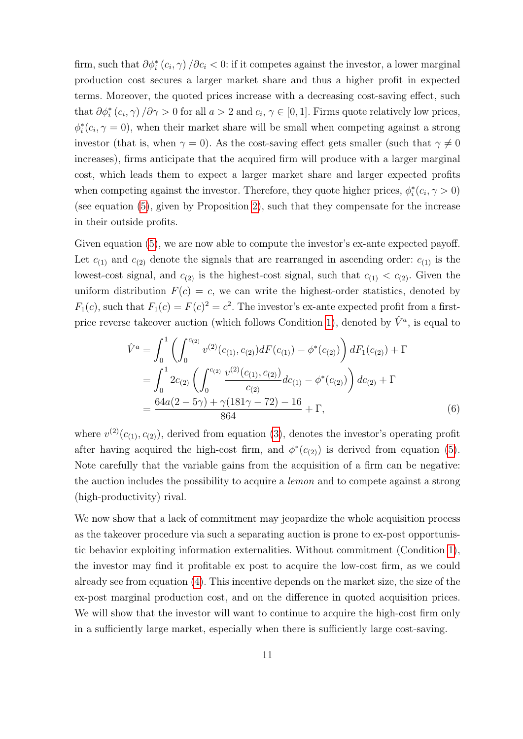firm, such that  $\partial \phi_i^* (c_i, \gamma) / \partial c_i < 0$ : if it competes against the investor, a lower marginal production cost secures a larger market share and thus a higher profit in expected terms. Moreover, the quoted prices increase with a decreasing cost-saving effect, such that  $\partial \phi_i^* (c_i, \gamma) / \partial \gamma > 0$  for all  $a > 2$  and  $c_i, \gamma \in [0, 1]$ . Firms quote relatively low prices,  $\phi_i^*(c_i, \gamma = 0)$ , when their market share will be small when competing against a strong investor (that is, when  $\gamma = 0$ ). As the cost-saving effect gets smaller (such that  $\gamma \neq 0$ increases), firms anticipate that the acquired firm will produce with a larger marginal cost, which leads them to expect a larger market share and larger expected profits when competing against the investor. Therefore, they quote higher prices,  $\phi_i^*(c_i, \gamma > 0)$ (see equation  $(5)$ , given by Proposition  $(2)$ , such that they compensate for the increase in their outside profits.

Given equation  $(5)$ , we are now able to compute the investor's ex-ante expected payoff. Let  $c_{(1)}$  and  $c_{(2)}$  denote the signals that are rearranged in ascending order:  $c_{(1)}$  is the lowest-cost signal, and  $c_{(2)}$  is the highest-cost signal, such that  $c_{(1)} < c_{(2)}$ . Given the uniform distribution  $F(c) = c$ , we can write the highest-order statistics, denoted by  $F_1(c)$ , such that  $F_1(c) = F(c)^2 = c^2$ . The investor's ex-ante expected profit from a firstprice reverse takeover auction (which follows Condition  $\boxed{1}$ , denoted by  $\hat{V}^a$ , is equal to

$$
\hat{V}^{a} = \int_{0}^{1} \left( \int_{0}^{c_{(2)}} v^{(2)}(c_{(1)}, c_{(2)}) dF(c_{(1)}) - \phi^{*}(c_{(2)}) \right) dF_{1}(c_{(2)}) + \Gamma
$$
\n
$$
= \int_{0}^{1} 2c_{(2)} \left( \int_{0}^{c_{(2)}} \frac{v^{(2)}(c_{(1)}, c_{(2)})}{c_{(2)}} dc_{(1)} - \phi^{*}(c_{(2)}) \right) dc_{(2)} + \Gamma
$$
\n
$$
= \frac{64a(2 - 5\gamma) + \gamma(181\gamma - 72) - 16}{864} + \Gamma,
$$
\n(6)

where  $v^{(2)}(c_{(1)}, c_{(2)})$ , derived from equation  $(3)$ , denotes the investor's operating profit after having acquired the high-cost firm, and  $\phi^*(c_{(2)})$  is derived from equation  $\overline{5}$ . Note carefully that the variable gains from the acquisition of a firm can be negative: the auction includes the possibility to acquire a *lemon* and to compete against a strong (high-productivity) rival.

We now show that a lack of commitment may jeopardize the whole acquisition process as the takeover procedure via such a separating auction is prone to ex-post opportunistic behavior exploiting information externalities. Without commitment (Condition  $[1]$ ), the investor may find it profitable ex post to acquire the low-cost firm, as we could already see from equation  $(4)$ . This incentive depends on the market size, the size of the ex-post marginal production cost, and on the difference in quoted acquisition prices. We will show that the investor will want to continue to acquire the high-cost firm only in a sufficiently large market, especially when there is sufficiently large cost-saving.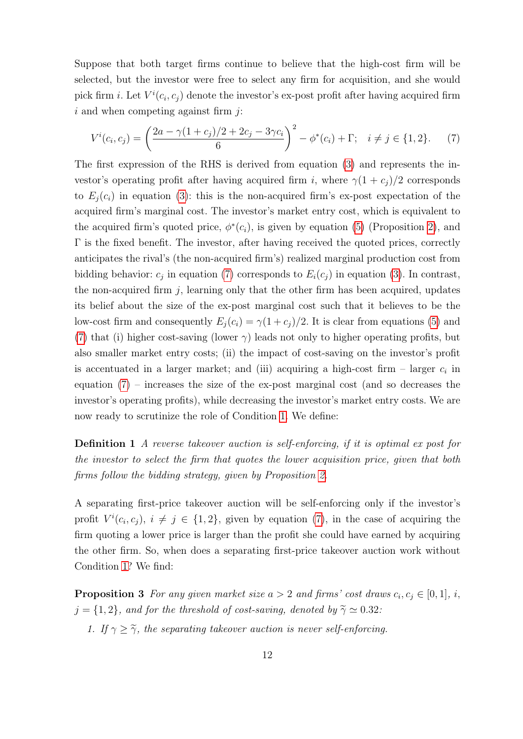Suppose that both target firms continue to believe that the high-cost firm will be selected, but the investor were free to select any firm for acquisition, and she would pick firm *i*. Let  $V^{i}(c_i, c_j)$  denote the investor's ex-post profit after having acquired firm  $i$  and when competing against firm  $i$ :

$$
V^{i}(c_{i}, c_{j}) = \left(\frac{2a - \gamma(1 + c_{j})/2 + 2c_{j} - 3\gamma c_{i}}{6}\right)^{2} - \phi^{*}(c_{i}) + \Gamma; \quad i \neq j \in \{1, 2\}.
$$
 (7)

The first expression of the RHS is derived from equation  $(3)$  and represents the investor's operating profit after having acquired firm i, where  $\gamma(1+c_j)/2$  corresponds to  $E_i(c_i)$  in equation (3): this is the non-acquired firm's ex-post expectation of the acquired firm's marginal cost. The investor's market entry cost, which is equivalent to the acquired firm's quoted price,  $\phi^*(c_i)$ , is given by equation  $\boxed{5}$  (Proposition  $\boxed{2}$ ), and  $\Gamma$  is the fixed benefit. The investor, after having received the quoted prices, correctly anticipates the rival's (the non-acquired firm's) realized marginal production cost from bidding behavior:  $c_j$  in equation (7) corresponds to  $E_i(c_j)$  in equation (3). In contrast, the non-acquired firm  $j$ , learning only that the other firm has been acquired, updates its belief about the size of the ex-post marginal cost such that it believes to be the low-cost firm and consequently  $E_i(c_i) = \gamma(1+c_i)/2$ . It is clear from equations (5) and (7) that (i) higher cost-saving (lower  $\gamma$ ) leads not only to higher operating profits, but also smaller market entry costs; (ii) the impact of cost-saving on the investor's profit is accentuated in a larger market; and (iii) acquiring a high-cost firm  $-$  larger  $c_i$  in equation  $(\overline{7})$  – increases the size of the ex-post marginal cost (and so decreases the investor's operating profits), while decreasing the investor's market entry costs. We are now ready to scrutinize the role of Condition 1. We define:

**Definition 1** A reverse takeover auction is self-enforcing, if it is optimal ex post for the investor to select the firm that quotes the lower acquisition price, given that both firms follow the bidding strategy, given by Proposition  $\boxed{2}$ .

A separating first-price takeover auction will be self-enforcing only if the investor's profit  $V^i(c_i, c_j)$ ,  $i \neq j \in \{1, 2\}$ , given by equation  $\sqrt{7}$ , in the case of acquiring the firm quoting a lower price is larger than the profit she could have earned by acquiring the other firm. So, when does a separating first-price takeover auction work without Condition  $\mathbb{I}$ ? We find:

**Proposition 3** For any given market size  $a > 2$  and firms' cost draws  $c_i, c_j \in [0, 1], i$ ,  $j = \{1, 2\}$ , and for the threshold of cost-saving, denoted by  $\widetilde{\gamma} \simeq 0.32$ :

1. If  $\gamma \geq \tilde{\gamma}$ , the separating takeover auction is never self-enforcing.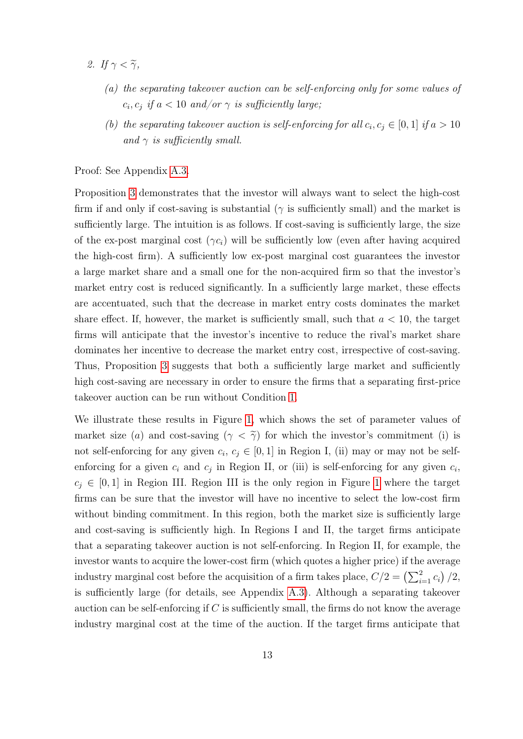- 2. If  $\gamma < \tilde{\gamma}$ ,
	- (a) the separating takeover auction can be self-enforcing only for some values of  $c_i, c_j$  if  $a < 10$  and/or  $\gamma$  is sufficiently large;
	- (b) the separating takeover auction is self-enforcing for all  $c_i, c_j \in [0, 1]$  if  $a > 10$ and  $\gamma$  is sufficiently small.

Proof: See Appendix A.3.

Proposition  $\overline{3}$  demonstrates that the investor will always want to select the high-cost firm if and only if cost-saving is substantial  $(\gamma$  is sufficiently small) and the market is sufficiently large. The intuition is as follows. If cost-saving is sufficiently large, the size of the ex-post marginal cost  $(\gamma c_i)$  will be sufficiently low (even after having acquired the high-cost firm). A sufficiently low ex-post marginal cost guarantees the investor a large market share and a small one for the non-acquired firm so that the investor's market entry cost is reduced significantly. In a sufficiently large market, these effects are accentuated, such that the decrease in market entry costs dominates the market share effect. If, however, the market is sufficiently small, such that  $a < 10$ , the target firms will anticipate that the investor's incentive to reduce the rival's market share dominates her incentive to decrease the market entry cost, irrespective of cost-saving. Thus, Proposition 3 suggests that both a sufficiently large market and sufficiently high cost-saving are necessary in order to ensure the firms that a separating first-price takeover auction can be run without Condition 1.

We illustrate these results in Figure  $\overline{1}$ , which shows the set of parameter values of market size (a) and cost-saving ( $\gamma < \tilde{\gamma}$ ) for which the investor's commitment (i) is not self-enforcing for any given  $c_i, c_j \in [0, 1]$  in Region I, (ii) may or may not be selfenforcing for a given  $c_i$  and  $c_j$  in Region II, or (iii) is self-enforcing for any given  $c_i$ ,  $c_j \in [0,1]$  in Region III. Region III is the only region in Figure  $\boxed{1}$  where the target firms can be sure that the investor will have no incentive to select the low-cost firm without binding commitment. In this region, both the market size is sufficiently large and cost-saving is sufficiently high. In Regions I and II, the target firms anticipate that a separating takeover auction is not self-enforcing. In Region II, for example, the investor wants to acquire the lower-cost firm (which quotes a higher price) if the average industry marginal cost before the acquisition of a firm takes place,  $C/2 = \left(\sum_{i=1}^{2} c_i\right)/2$ , is sufficiently large (for details, see Appendix  $\overline{A.3}$ ). Although a separating takeover auction can be self-enforcing if  $C$  is sufficiently small, the firms do not know the average industry marginal cost at the time of the auction. If the target firms anticipate that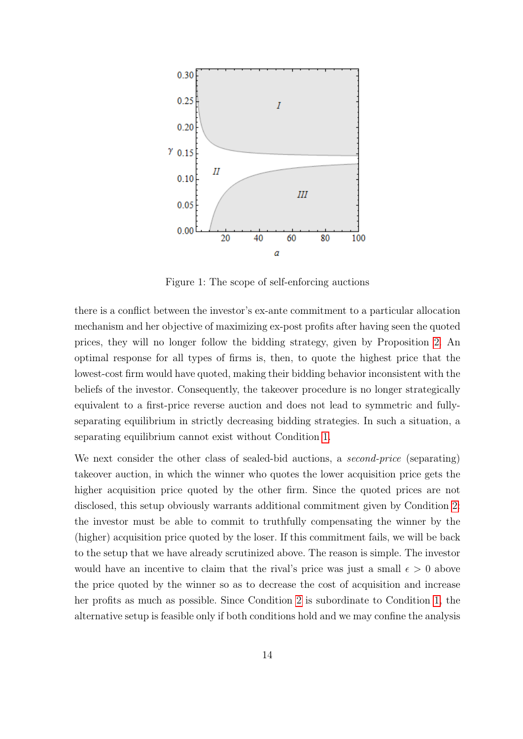

Figure 1: The scope of self-enforcing auctions

there is a conflict between the investor's ex-ante commitment to a particular allocation mechanism and her objective of maximizing ex-post profits after having seen the quoted prices, they will no longer follow the bidding strategy, given by Proposition  $\boxed{2}$ . An optimal response for all types of firms is, then, to quote the highest price that the lowest-cost firm would have quoted, making their bidding behavior inconsistent with the beliefs of the investor. Consequently, the takeover procedure is no longer strategically equivalent to a first-price reverse auction and does not lead to symmetric and fullyseparating equilibrium in strictly decreasing bidding strategies. In such a situation, a separating equilibrium cannot exist without Condition  $\boxed{1}$ .

We next consider the other class of sealed-bid auctions, a *second-price* (separating) takeover auction, in which the winner who quotes the lower acquisition price gets the higher acquisition price quoted by the other firm. Since the quoted prices are not disclosed, this setup obviously warrants additional commitment given by Condition  $\boxed{2}$ : the investor must be able to commit to truthfully compensating the winner by the (higher) acquisition price quoted by the loser. If this commitment fails, we will be back to the setup that we have already scrutinized above. The reason is simple. The investor would have an incentive to claim that the rival's price was just a small  $\epsilon > 0$  above the price quoted by the winner so as to decrease the cost of acquisition and increase her profits as much as possible. Since Condition  $\boxed{2}$  is subordinate to Condition  $\boxed{1}$ , the alternative setup is feasible only if both conditions hold and we may confine the analysis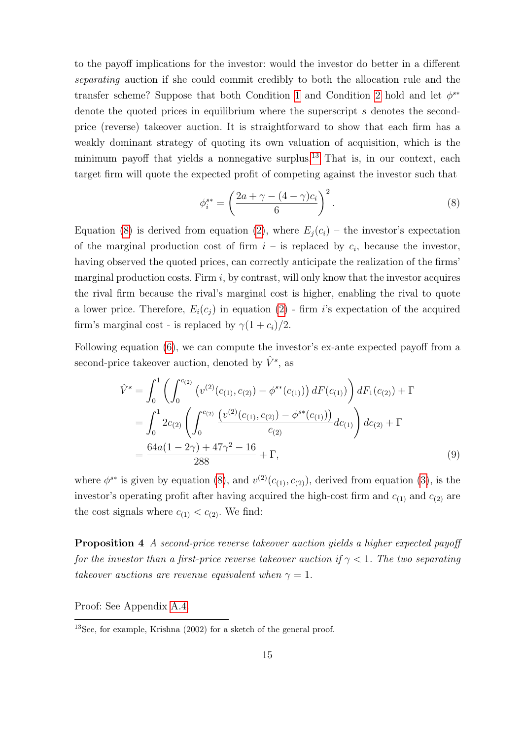to the payoff implications for the investor: would the investor do better in a different separating auction if she could commit credibly to both the allocation rule and the transfer scheme? Suppose that both Condition  $\boxed{1}$  and Condition  $\boxed{2}$  hold and let  $\phi^{s*}$ denote the quoted prices in equilibrium where the superscript s denotes the secondprice (reverse) takeover auction. It is straightforward to show that each firm has a weakly dominant strategy of quoting its own valuation of acquisition, which is the minimum payoff that yields a nonnegative surplus. $\frac{13}{3}$  That is, in our context, each target firm will quote the expected profit of competing against the investor such that

$$
\phi_i^{s*} = \left(\frac{2a + \gamma - (4 - \gamma)c_i}{6}\right)^2.
$$
\n(8)

Equation  $\boxed{8}$  is derived from equation  $\boxed{2}$ , where  $E_j(c_i)$  – the investor's expectation of the marginal production cost of firm  $i$  – is replaced by  $c_i$ , because the investor, having observed the quoted prices, can correctly anticipate the realization of the firms' marginal production costs. Firm  $i$ , by contrast, will only know that the investor acquires the rival firm because the rival's marginal cost is higher, enabling the rival to quote a lower price. Therefore,  $E_i(c_j)$  in equation  $(2)$  - firm is expectation of the acquired firm's marginal cost - is replaced by  $\gamma(1+c_i)/2$ .

Following equation  $(6)$ , we can compute the investor's ex-ante expected payoff from a second-price takeover auction, denoted by  $\hat{V}^s$ , as

$$
\hat{V}^{s} = \int_{0}^{1} \left( \int_{0}^{c_{(2)}} \left( v^{(2)}(c_{(1)}, c_{(2)}) - \phi^{s*}(c_{(1)}) \right) dF(c_{(1)}) \right) dF_{1}(c_{(2)}) + \Gamma
$$
\n
$$
= \int_{0}^{1} 2c_{(2)} \left( \int_{0}^{c_{(2)}} \frac{\left( v^{(2)}(c_{(1)}, c_{(2)}) - \phi^{s*}(c_{(1)}) \right)}{c_{(2)}} d c_{(1)} \right) d c_{(2)} + \Gamma
$$
\n
$$
= \frac{64a(1 - 2\gamma) + 47\gamma^{2} - 16}{288} + \Gamma,
$$
\n(9)

where  $\phi^{s*}$  is given by equation  $\langle 8 \rangle$ , and  $v^{(2)}(c_{(1)}, c_{(2)})$ , derived from equation  $\langle 3 \rangle$ , is the investor's operating profit after having acquired the high-cost firm and  $c_{(1)}$  and  $c_{(2)}$  are the cost signals where  $c_{(1)} < c_{(2)}$ . We find:

Proposition 4 A second-price reverse takeover auction yields a higher expected payoff for the investor than a first-price reverse takeover auction if  $\gamma < 1$ . The two separating takeover auctions are revenue equivalent when  $\gamma = 1$ .

Proof: See Appendix A.4.

<sup>&</sup>lt;sup>13</sup>See, for example, Krishna  $(2002)$  for a sketch of the general proof.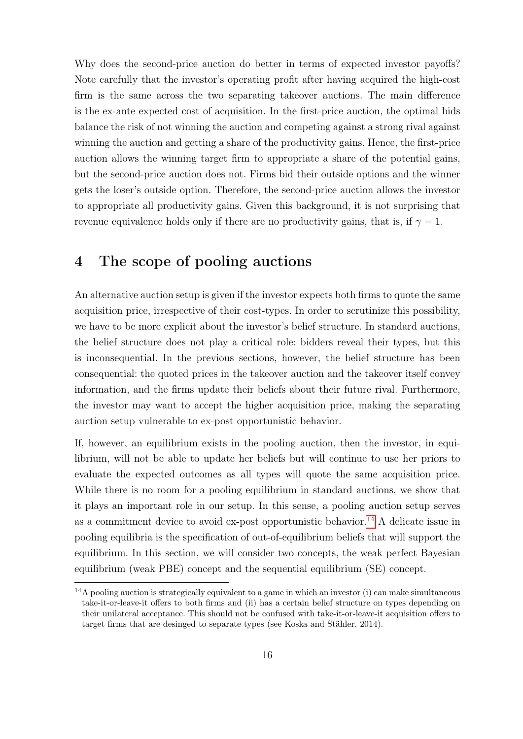Why does the second-price auction do better in terms of expected investor payoffs? Note carefully that the investor's operating profit after having acquired the high-cost firm is the same across the two separating takeover auctions. The main difference is the ex-ante expected cost of acquisition. In the first-price auction, the optimal bids balance the risk of not winning the auction and competing against a strong rival against winning the auction and getting a share of the productivity gains. Hence, the first-price auction allows the winning target firm to appropriate a share of the potential gains, but the second-price auction does not. Firms bid their outside options and the winner gets the loser's outside option. Therefore, the second-price auction allows the investor to appropriate all productivity gains. Given this background, it is not surprising that revenue equivalence holds only if there are no productivity gains, that is, if  $\gamma = 1$ .

# 4 The scope of pooling auctions

An alternative auction setup is given if the investor expects both firms to quote the same acquisition price, irrespective of their cost-types. In order to scrutinize this possibility, we have to be more explicit about the investor's belief structure. In standard auctions, the belief structure does not play a critical role: bidders reveal their types, but this is inconsequential. In the previous sections, however, the belief structure has been consequential: the quoted prices in the takeover auction and the takeover itself convey information, and the firms update their beliefs about their future rival. Furthermore, the investor may want to accept the higher acquisition price, making the separating auction setup vulnerable to ex-post opportunistic behavior.

If, however, an equilibrium exists in the pooling auction, then the investor, in equilibrium, will not be able to update her beliefs but will continue to use her priors to evaluate the expected outcomes as all types will quote the same acquisition price. While there is no room for a pooling equilibrium in standard auctions, we show that it plays an important role in our setup. In this sense, a pooling auction setup serves as a commitment device to avoid ex-post opportunistic behavior.  $\frac{1}{4}$  A delicate issue in pooling equilibria is the specification of out-of-equilibrium beliefs that will support the equilibrium. In this section, we will consider two concepts, the weak perfect Bayesian equilibrium (weak PBE) concept and the sequential equilibrium (SE) concept.

 $14A$  pooling auction is strategically equivalent to a game in which an investor (i) can make simultaneous take-it-or-leave-it offers to both firms and (ii) has a certain belief structure on types depending on their unilateral acceptance. This should not be confused with take-it-or-leave-it acquisition offers to target firms that are desinged to separate types (see Koska and Stähler, 2014).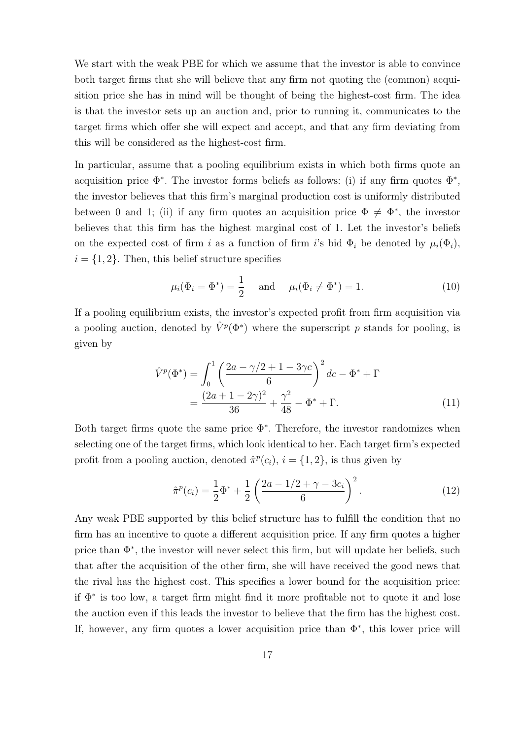We start with the weak PBE for which we assume that the investor is able to convince both target firms that she will believe that any firm not quoting the (common) acquisition price she has in mind will be thought of being the highest-cost firm. The idea is that the investor sets up an auction and, prior to running it, communicates to the target firms which offer she will expect and accept, and that any firm deviating from this will be considered as the highest-cost firm.

In particular, assume that a pooling equilibrium exists in which both firms quote an acquisition price  $\Phi^*$ . The investor forms beliefs as follows: (i) if any firm quotes  $\Phi^*$ , the investor believes that this firm's marginal production cost is uniformly distributed between 0 and 1; (ii) if any firm quotes an acquisition price  $\Phi \neq \Phi^*$ , the investor believes that this firm has the highest marginal cost of 1. Let the investor's beliefs on the expected cost of firm i as a function of firm i's bid  $\Phi_i$  be denoted by  $\mu_i(\Phi_i)$ ,  $i = \{1, 2\}$ . Then, this belief structure specifies

$$
\mu_i(\Phi_i = \Phi^*) = \frac{1}{2}
$$
 and  $\mu_i(\Phi_i \neq \Phi^*) = 1.$  (10)

If a pooling equilibrium exists, the investor's expected profit from firm acquisition via a pooling auction, denoted by  $\hat{V}^p(\Phi^*)$  where the superscript p stands for pooling, is given by

$$
\hat{V}^p(\Phi^*) = \int_0^1 \left(\frac{2a - \gamma/2 + 1 - 3\gamma c}{6}\right)^2 dc - \Phi^* + \Gamma
$$

$$
= \frac{(2a + 1 - 2\gamma)^2}{36} + \frac{\gamma^2}{48} - \Phi^* + \Gamma.
$$
(11)

Both target firms quote the same price  $\Phi^*$ . Therefore, the investor randomizes when selecting one of the target firms, which look identical to her. Each target firm's expected profit from a pooling auction, denoted  $\hat{\pi}^p(c_i)$ ,  $i = \{1, 2\}$ , is thus given by

$$
\hat{\pi}^p(c_i) = \frac{1}{2}\Phi^* + \frac{1}{2}\left(\frac{2a - 1/2 + \gamma - 3c_i}{6}\right)^2.
$$
\n(12)

Any weak PBE supported by this belief structure has to fulfill the condition that no firm has an incentive to quote a different acquisition price. If any firm quotes a higher price than Φ ∗ , the investor will never select this firm, but will update her beliefs, such that after the acquisition of the other firm, she will have received the good news that the rival has the highest cost. This specifies a lower bound for the acquisition price: if Φ ∗ is too low, a target firm might find it more profitable not to quote it and lose the auction even if this leads the investor to believe that the firm has the highest cost. If, however, any firm quotes a lower acquisition price than  $\Phi^*$ , this lower price will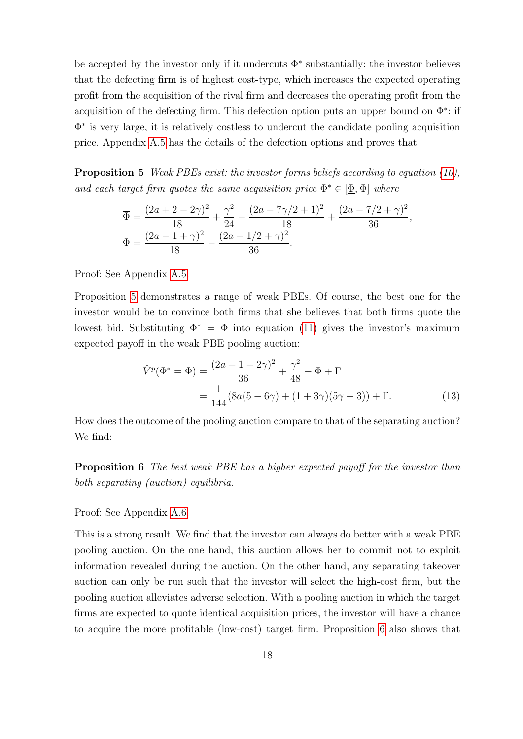be accepted by the investor only if it undercuts  $\Phi^*$  substantially: the investor believes that the defecting firm is of highest cost-type, which increases the expected operating profit from the acquisition of the rival firm and decreases the operating profit from the acquisition of the defecting firm. This defection option puts an upper bound on  $\Phi^*$ : if Φ ∗ is very large, it is relatively costless to undercut the candidate pooling acquisition price. Appendix  $\overline{A.5}$  has the details of the defection options and proves that

**Proposition 5** Weak PBEs exist: the investor forms beliefs according to equation  $(10)$ , and each target firm quotes the same acquisition price  $\Phi^* \in [\underline{\Phi}, \overline{\Phi}]$  where

$$
\overline{\Phi} = \frac{(2a + 2 - 2\gamma)^2}{18} + \frac{\gamma^2}{24} - \frac{(2a - 7\gamma/2 + 1)^2}{18} + \frac{(2a - 7/2 + \gamma)^2}{36},
$$
  

$$
\underline{\Phi} = \frac{(2a - 1 + \gamma)^2}{18} - \frac{(2a - 1/2 + \gamma)^2}{36}.
$$

Proof: See Appendix A.5.

Proposition  $\overline{5}$  demonstrates a range of weak PBEs. Of course, the best one for the investor would be to convince both firms that she believes that both firms quote the lowest bid. Substituting  $\Phi^* = \underline{\Phi}$  into equation (11) gives the investor's maximum expected payoff in the weak PBE pooling auction:

$$
\hat{V}^p(\Phi^* = \underline{\Phi}) = \frac{(2a + 1 - 2\gamma)^2}{36} + \frac{\gamma^2}{48} - \underline{\Phi} + \Gamma
$$
  
= 
$$
\frac{1}{144} (8a(5 - 6\gamma) + (1 + 3\gamma)(5\gamma - 3)) + \Gamma.
$$
 (13)

How does the outcome of the pooling auction compare to that of the separating auction? We find:

Proposition 6 The best weak PBE has a higher expected payoff for the investor than both separating (auction) equilibria.

#### Proof: See Appendix A.6.

This is a strong result. We find that the investor can always do better with a weak PBE pooling auction. On the one hand, this auction allows her to commit not to exploit information revealed during the auction. On the other hand, any separating takeover auction can only be run such that the investor will select the high-cost firm, but the pooling auction alleviates adverse selection. With a pooling auction in which the target firms are expected to quote identical acquisition prices, the investor will have a chance to acquire the more profitable (low-cost) target firm. Proposition  $\boxed{6}$  also shows that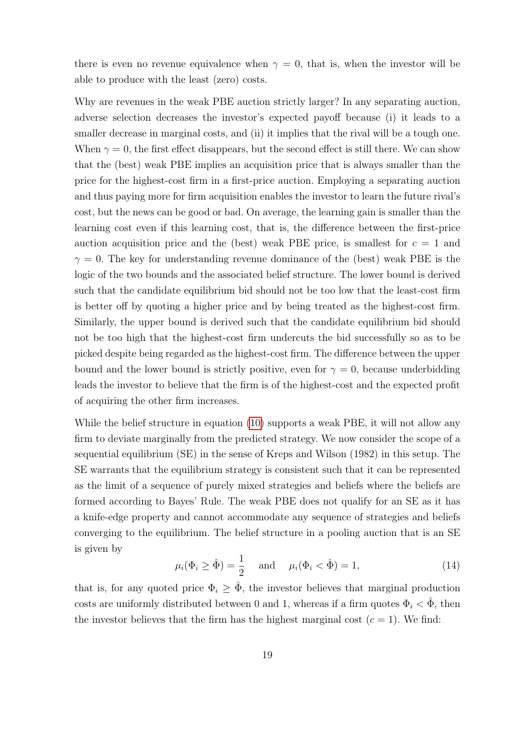there is even no revenue equivalence when  $\gamma = 0$ , that is, when the investor will be able to produce with the least (zero) costs.

Why are revenues in the weak PBE auction strictly larger? In any separating auction, adverse selection decreases the investor's expected payoff because (i) it leads to a smaller decrease in marginal costs, and (ii) it implies that the rival will be a tough one. When  $\gamma = 0$ , the first effect disappears, but the second effect is still there. We can show that the (best) weak PBE implies an acquisition price that is always smaller than the price for the highest-cost firm in a first-price auction. Employing a separating auction and thus paying more for firm acquisition enables the investor to learn the future rival's cost, but the news can be good or bad. On average, the learning gain is smaller than the learning cost even if this learning cost, that is, the difference between the first-price auction acquisition price and the (best) weak PBE price, is smallest for  $c = 1$  and  $\gamma = 0$ . The key for understanding revenue dominance of the (best) weak PBE is the logic of the two bounds and the associated belief structure. The lower bound is derived such that the candidate equilibrium bid should not be too low that the least-cost firm is better off by quoting a higher price and by being treated as the highest-cost firm. Similarly, the upper bound is derived such that the candidate equilibrium bid should not be too high that the highest-cost firm undercuts the bid successfully so as to be picked despite being regarded as the highest-cost firm. The difference between the upper bound and the lower bound is strictly positive, even for  $\gamma = 0$ , because underbidding leads the investor to believe that the firm is of the highest-cost and the expected profit of acquiring the other firm increases.

While the belief structure in equation  $(10)$  supports a weak PBE, it will not allow any firm to deviate marginally from the predicted strategy. We now consider the scope of a sequential equilibrium (SE) in the sense of Kreps and Wilson (1982) in this setup. The SE warrants that the equilibrium strategy is consistent such that it can be represented as the limit of a sequence of purely mixed strategies and beliefs where the beliefs are formed according to Bayes' Rule. The weak PBE does not qualify for an SE as it has a knife-edge property and cannot accommodate any sequence of strategies and beliefs converging to the equilibrium. The belief structure in a pooling auction that is an SE is given by

$$
\mu_i(\Phi_i \ge \hat{\Phi}) = \frac{1}{2}
$$
 and  $\mu_i(\Phi_i < \hat{\Phi}) = 1,$ \n(14)

that is, for any quoted price  $\Phi_i \geq \hat{\Phi}$ , the investor believes that marginal production costs are uniformly distributed between 0 and 1, whereas if a firm quotes  $\Phi_i < \Phi$ , then the investor believes that the firm has the highest marginal cost  $(c = 1)$ . We find: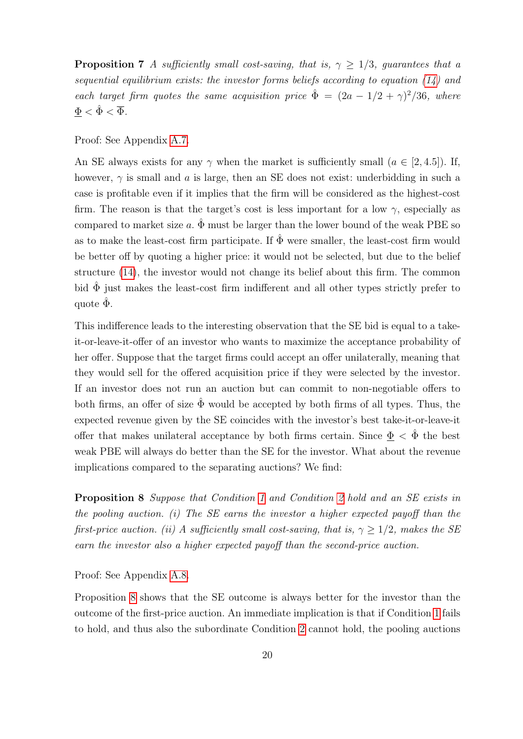**Proposition 7** A sufficiently small cost-saving, that is,  $\gamma \geq 1/3$ , guarantees that a sequential equilibrium exists: the investor forms beliefs according to equation  $\overline{14}$  and each target firm quotes the same acquisition price  $\hat{\Phi} = (2a - 1/2 + \gamma)^2/36$ , where  $\underline{\Phi} < \hat{\Phi} < \overline{\Phi}$ .

Proof: See Appendix A.7.

An SE always exists for any  $\gamma$  when the market is sufficiently small  $(a \in [2, 4.5])$ . If, however,  $\gamma$  is small and a is large, then an SE does not exist: underbidding in such a case is profitable even if it implies that the firm will be considered as the highest-cost firm. The reason is that the target's cost is less important for a low  $\gamma$ , especially as compared to market size a.  $\hat{\Phi}$  must be larger than the lower bound of the weak PBE so as to make the least-cost firm participate. If  $\hat{\Phi}$  were smaller, the least-cost firm would be better off by quoting a higher price: it would not be selected, but due to the belief structure  $(14)$ , the investor would not change its belief about this firm. The common bid  $\hat{\Phi}$  just makes the least-cost firm indifferent and all other types strictly prefer to quote  $\hat{\Phi}$ .

This indifference leads to the interesting observation that the SE bid is equal to a takeit-or-leave-it-offer of an investor who wants to maximize the acceptance probability of her offer. Suppose that the target firms could accept an offer unilaterally, meaning that they would sell for the offered acquisition price if they were selected by the investor. If an investor does not run an auction but can commit to non-negotiable offers to both firms, an offer of size  $\hat{\Phi}$  would be accepted by both firms of all types. Thus, the expected revenue given by the SE coincides with the investor's best take-it-or-leave-it offer that makes unilateral acceptance by both firms certain. Since  $\Phi \leq \hat{\Phi}$  the best weak PBE will always do better than the SE for the investor. What about the revenue implications compared to the separating auctions? We find:

**Proposition 8** Suppose that Condition  $\overline{I}$  and Condition  $\overline{Z}$  hold and an SE exists in the pooling auction. (i) The SE earns the investor a higher expected payoff than the first-price auction. (ii) A sufficiently small cost-saving, that is,  $\gamma \geq 1/2$ , makes the SE earn the investor also a higher expected payoff than the second-price auction.

Proof: See Appendix A.8

Proposition  $\sqrt{8}$  shows that the SE outcome is always better for the investor than the outcome of the first-price auction. An immediate implication is that if Condition  $\prod$  fails to hold, and thus also the subordinate Condition  $\boxed{2}$  cannot hold, the pooling auctions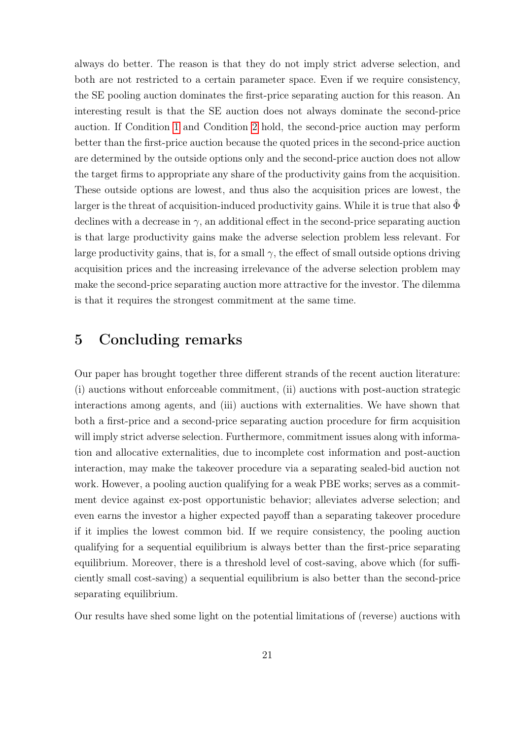always do better. The reason is that they do not imply strict adverse selection, and both are not restricted to a certain parameter space. Even if we require consistency, the SE pooling auction dominates the first-price separating auction for this reason. An interesting result is that the SE auction does not always dominate the second-price auction. If Condition  $\boxed{1}$  and Condition  $\boxed{2}$  hold, the second-price auction may perform better than the first-price auction because the quoted prices in the second-price auction are determined by the outside options only and the second-price auction does not allow the target firms to appropriate any share of the productivity gains from the acquisition. These outside options are lowest, and thus also the acquisition prices are lowest, the larger is the threat of acquisition-induced productivity gains. While it is true that also  $\hat{\Phi}$ declines with a decrease in  $\gamma$ , an additional effect in the second-price separating auction is that large productivity gains make the adverse selection problem less relevant. For large productivity gains, that is, for a small  $\gamma$ , the effect of small outside options driving acquisition prices and the increasing irrelevance of the adverse selection problem may make the second-price separating auction more attractive for the investor. The dilemma is that it requires the strongest commitment at the same time.

### 5 Concluding remarks

Our paper has brought together three different strands of the recent auction literature: (i) auctions without enforceable commitment, (ii) auctions with post-auction strategic interactions among agents, and (iii) auctions with externalities. We have shown that both a first-price and a second-price separating auction procedure for firm acquisition will imply strict adverse selection. Furthermore, commitment issues along with information and allocative externalities, due to incomplete cost information and post-auction interaction, may make the takeover procedure via a separating sealed-bid auction not work. However, a pooling auction qualifying for a weak PBE works; serves as a commitment device against ex-post opportunistic behavior; alleviates adverse selection; and even earns the investor a higher expected payoff than a separating takeover procedure if it implies the lowest common bid. If we require consistency, the pooling auction qualifying for a sequential equilibrium is always better than the first-price separating equilibrium. Moreover, there is a threshold level of cost-saving, above which (for sufficiently small cost-saving) a sequential equilibrium is also better than the second-price separating equilibrium.

Our results have shed some light on the potential limitations of (reverse) auctions with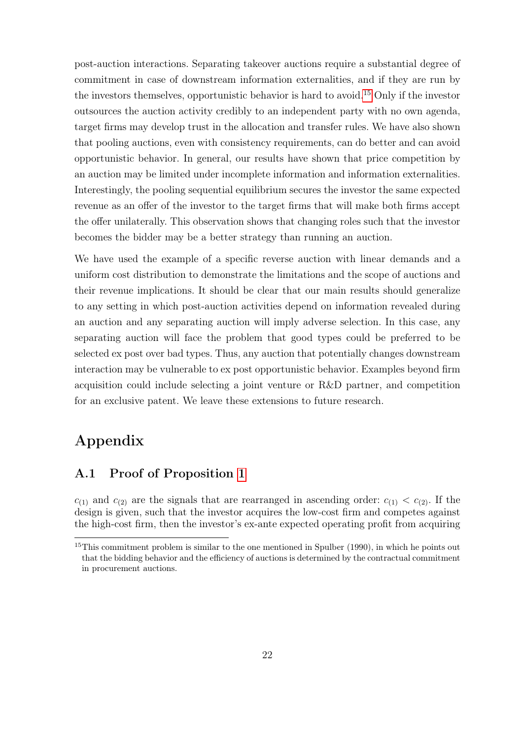post-auction interactions. Separating takeover auctions require a substantial degree of commitment in case of downstream information externalities, and if they are run by the investors themselves, opportunistic behavior is hard to avoid.<sup>[15]</sup> Only if the investor outsources the auction activity credibly to an independent party with no own agenda, target firms may develop trust in the allocation and transfer rules. We have also shown that pooling auctions, even with consistency requirements, can do better and can avoid opportunistic behavior. In general, our results have shown that price competition by an auction may be limited under incomplete information and information externalities. Interestingly, the pooling sequential equilibrium secures the investor the same expected revenue as an offer of the investor to the target firms that will make both firms accept the offer unilaterally. This observation shows that changing roles such that the investor becomes the bidder may be a better strategy than running an auction.

We have used the example of a specific reverse auction with linear demands and a uniform cost distribution to demonstrate the limitations and the scope of auctions and their revenue implications. It should be clear that our main results should generalize to any setting in which post-auction activities depend on information revealed during an auction and any separating auction will imply adverse selection. In this case, any separating auction will face the problem that good types could be preferred to be selected ex post over bad types. Thus, any auction that potentially changes downstream interaction may be vulnerable to ex post opportunistic behavior. Examples beyond firm acquisition could include selecting a joint venture or R&D partner, and competition for an exclusive patent. We leave these extensions to future research.

# Appendix

### A.1 Proof of Proposition 1

 $c_{(1)}$  and  $c_{(2)}$  are the signals that are rearranged in ascending order:  $c_{(1)} < c_{(2)}$ . If the design is given, such that the investor acquires the low-cost firm and competes against the high-cost firm, then the investor's ex-ante expected operating profit from acquiring

<sup>&</sup>lt;sup>15</sup>This commitment problem is similar to the one mentioned in Spulber (1990), in which he points out that the bidding behavior and the efficiency of auctions is determined by the contractual commitment in procurement auctions.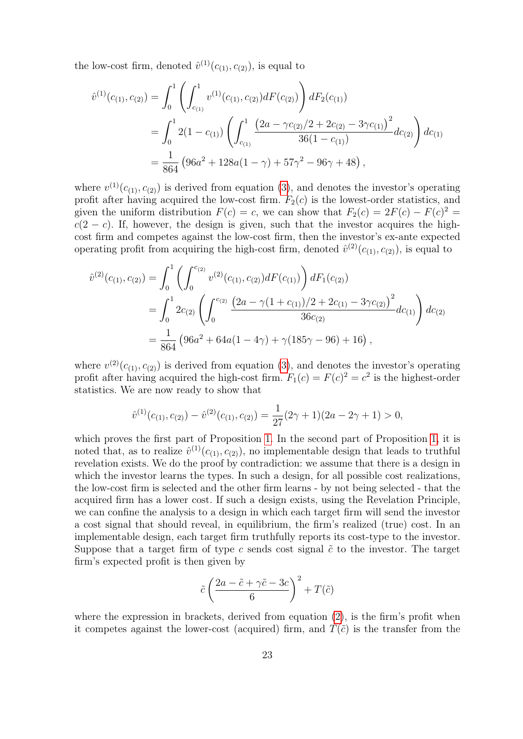the low-cost firm, denoted  $\hat{v}^{(1)}(c_{(1)}, c_{(2)})$ , is equal to

$$
\hat{v}^{(1)}(c_{(1)}, c_{(2)}) = \int_0^1 \left( \int_{c_{(1)}}^1 v^{(1)}(c_{(1)}, c_{(2)}) dF(c_{(2)}) \right) dF_2(c_{(1)})
$$
  
\n
$$
= \int_0^1 2(1 - c_{(1)}) \left( \int_{c_{(1)}}^1 \frac{(2a - \gamma c_{(2)}/2 + 2c_{(2)} - 3\gamma c_{(1)})^2}{36(1 - c_{(1)})} d c_{(2)} \right) d c_{(1)}
$$
  
\n
$$
= \frac{1}{864} \left( 96a^2 + 128a(1 - \gamma) + 57\gamma^2 - 96\gamma + 48 \right),
$$

where  $v^{(1)}(c_{(1)}, c_{(2)})$  is derived from equation  $\mathcal{B}$ , and denotes the investor's operating profit after having acquired the low-cost firm.  $F_2(c)$  is the lowest-order statistics, and given the uniform distribution  $F(c) = c$ , we can show that  $F_2(c) = 2F(c) - F(c)^2 =$  $c(2 - c)$ . If, however, the design is given, such that the investor acquires the highcost firm and competes against the low-cost firm, then the investor's ex-ante expected operating profit from acquiring the high-cost firm, denoted  $\hat{v}^{(2)}(c_{(1)}, c_{(2)})$ , is equal to

$$
\hat{v}^{(2)}(c_{(1)}, c_{(2)}) = \int_0^1 \left( \int_0^{c_{(2)}} v^{(2)}(c_{(1)}, c_{(2)}) dF(c_{(1)}) \right) dF_1(c_{(2)})
$$
  
= 
$$
\int_0^1 2c_{(2)} \left( \int_0^{c_{(2)}} \frac{(2a - \gamma(1 + c_{(1)})/2 + 2c_{(1)} - 3\gamma c_{(2)})^2}{36c_{(2)}} dc_{(1)} \right) dc_{(2)}
$$
  
= 
$$
\frac{1}{864} (96a^2 + 64a(1 - 4\gamma) + \gamma(185\gamma - 96) + 16),
$$

where  $v^{(2)}(c_{(1)}, c_{(2)})$  is derived from equation  $\mathcal{B}$ , and denotes the investor's operating profit after having acquired the high-cost firm.  $F_1(c) = F(c)^2 = c^2$  is the highest-order statistics. We are now ready to show that

$$
\hat{v}^{(1)}(c_{(1)}, c_{(2)}) - \hat{v}^{(2)}(c_{(1)}, c_{(2)}) = \frac{1}{27}(2\gamma + 1)(2a - 2\gamma + 1) > 0,
$$

which proves the first part of Proposition  $\boxed{1}$ . In the second part of Proposition  $\boxed{1}$ , it is noted that, as to realize  $\hat{v}^{(1)}(c_{(1)}, c_{(2)})$ , no implementable design that leads to truthful revelation exists. We do the proof by contradiction: we assume that there is a design in which the investor learns the types. In such a design, for all possible cost realizations, the low-cost firm is selected and the other firm learns - by not being selected - that the acquired firm has a lower cost. If such a design exists, using the Revelation Principle, we can confine the analysis to a design in which each target firm will send the investor a cost signal that should reveal, in equilibrium, the firm's realized (true) cost. In an implementable design, each target firm truthfully reports its cost-type to the investor. Suppose that a target firm of type c sends cost signal  $\tilde{c}$  to the investor. The target firm's expected profit is then given by

$$
\tilde{c}\left(\frac{2a-\tilde{c}+\gamma\tilde{c}-3c}{6}\right)^2+T(\tilde{c})
$$

where the expression in brackets, derived from equation  $\mathcal{D}$ , is the firm's profit when it competes against the lower-cost (acquired) firm, and  $T(\tilde{c})$  is the transfer from the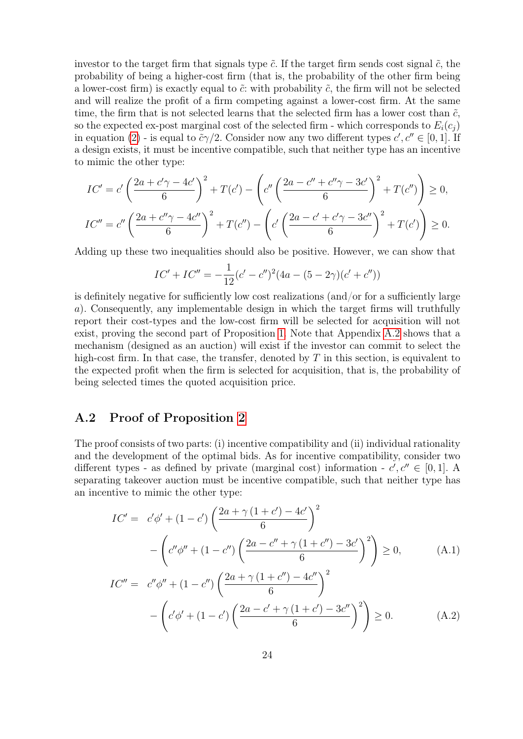investor to the target firm that signals type  $\tilde{c}$ . If the target firm sends cost signal  $\tilde{c}$ , the probability of being a higher-cost firm (that is, the probability of the other firm being a lower-cost firm) is exactly equal to  $\tilde{c}$ : with probability  $\tilde{c}$ , the firm will not be selected and will realize the profit of a firm competing against a lower-cost firm. At the same time, the firm that is not selected learns that the selected firm has a lower cost than  $\tilde{c}$ , so the expected ex-post marginal cost of the selected firm - which corresponds to  $E_i(c_i)$ in equation  $\mathcal{D}$  - is equal to  $\tilde{c}\gamma/2$ . Consider now any two different types  $c', c'' \in [0, 1]$ . If a design exists, it must be incentive compatible, such that neither type has an incentive to mimic the other type:

$$
IC' = c' \left(\frac{2a + c'\gamma - 4c'}{6}\right)^2 + T(c') - \left(c'' \left(\frac{2a - c'' + c''\gamma - 3c'}{6}\right)^2 + T(c'')\right) \ge 0,
$$
  

$$
IC'' = c'' \left(\frac{2a + c''\gamma - 4c''}{6}\right)^2 + T(c'') - \left(c' \left(\frac{2a - c' + c'\gamma - 3c''}{6}\right)^2 + T(c')\right) \ge 0.
$$

Adding up these two inequalities should also be positive. However, we can show that

$$
IC' + IC'' = -\frac{1}{12}(c' - c'')^{2}(4a - (5 - 2\gamma)(c' + c''))
$$

is definitely negative for sufficiently low cost realizations (and/or for a sufficiently large a). Consequently, any implementable design in which the target firms will truthfully report their cost-types and the low-cost firm will be selected for acquisition will not exist, proving the second part of Proposition  $\overline{1}$ . Note that Appendix  $\overline{A.2}$  shows that a mechanism (designed as an auction) will exist if the investor can commit to select the high-cost firm. In that case, the transfer, denoted by  $T$  in this section, is equivalent to the expected profit when the firm is selected for acquisition, that is, the probability of being selected times the quoted acquisition price.

### A.2 Proof of Proposition 2

The proof consists of two parts: (i) incentive compatibility and (ii) individual rationality and the development of the optimal bids. As for incentive compatibility, consider two different types - as defined by private (marginal cost) information -  $c', c'' \in [0, 1]$ . A separating takeover auction must be incentive compatible, such that neither type has an incentive to mimic the other type:

$$
IC' = c'\phi' + (1 - c')\left(\frac{2a + \gamma(1 + c') - 4c'}{6}\right)^2 - \left(c''\phi'' + (1 - c'')\left(\frac{2a - c'' + \gamma(1 + c'') - 3c'}{6}\right)^2\right) \ge 0,
$$
 (A.1)

$$
IC'' = c''\phi'' + (1 - c'')\left(\frac{2a + \gamma(1 + c'') - 4c''}{6}\right)^2 - \left(c'\phi' + (1 - c')\left(\frac{2a - c' + \gamma(1 + c') - 3c''}{6}\right)^2\right) \ge 0.
$$
 (A.2)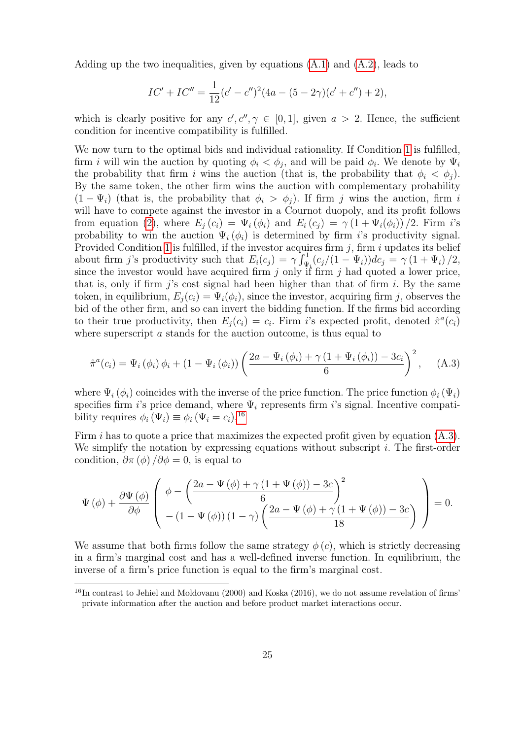Adding up the two inequalities, given by equations  $(A.1)$  and  $(A.2)$ , leads to

$$
IC' + IC'' = \frac{1}{12}(c' - c'')^{2}(4a - (5 - 2\gamma)(c' + c'') + 2),
$$

which is clearly positive for any  $c', c'', \gamma \in [0, 1]$ , given  $a > 2$ . Hence, the sufficient condition for incentive compatibility is fulfilled.

We now turn to the optimal bids and individual rationality. If Condition  $\overline{1}$  is fulfilled, firm *i* will win the auction by quoting  $\phi_i < \phi_j$ , and will be paid  $\phi_i$ . We denote by  $\Psi_i$ the probability that firm i wins the auction (that is, the probability that  $\phi_i < \phi_i$ ). By the same token, the other firm wins the auction with complementary probability  $(1 - \Psi_i)$  (that is, the probability that  $\phi_i > \phi_i$ ). If firm j wins the auction, firm i will have to compete against the investor in a Cournot duopoly, and its profit follows from equation (2), where  $E_j(c_i) = \Psi_i(\phi_i)$  and  $E_i(c_j) = \gamma (1 + \Psi_i(\phi_i)) / 2$ . Firm i's probability to win the auction  $\Psi_i(\phi_i)$  is determined by firm *i*'s productivity signal. Provided Condition  $\overline{1}$  is fulfilled, if the investor acquires firm j, firm i updates its belief about firm j's productivity such that  $E_i(c_j) = \gamma \int_{\Psi_i}^1 (c_j/(1-\Psi_i))dc_j = \gamma (1+\Psi_i)/2$ , since the investor would have acquired firm  $j$  only if firm  $j$  had quoted a lower price, that is, only if firm  $i$ 's cost signal had been higher than that of firm i. By the same token, in equilibrium,  $E_i(c_i) = \Psi_i(\phi_i)$ , since the investor, acquiring firm j, observes the bid of the other firm, and so can invert the bidding function. If the firms bid according to their true productivity, then  $E_j(c_i) = c_i$ . Firm i's expected profit, denoted  $\hat{\pi}^a(c_i)$ where superscript a stands for the auction outcome, is thus equal to

$$
\hat{\pi}^{a}(c_{i}) = \Psi_{i}(\phi_{i}) \phi_{i} + (1 - \Psi_{i}(\phi_{i})) \left( \frac{2a - \Psi_{i}(\phi_{i}) + \gamma (1 + \Psi_{i}(\phi_{i})) - 3c_{i}}{6} \right)^{2}, \quad (A.3)
$$

where  $\Psi_i(\phi_i)$  coincides with the inverse of the price function. The price function  $\phi_i(\Psi_i)$ specifies firm i's price demand, where  $\Psi_i$  represents firm i's signal. Incentive compatibility requires  $\phi_i(\Psi_i) \equiv \phi_i(\Psi_i = c_i)$ ,  $\overline{^{16}}$ 

Firm i has to quote a price that maximizes the expected profit given by equation  $(A.3)$ . We simplify the notation by expressing equations without subscript i. The first-order condition,  $\partial \pi (\phi) / \partial \phi = 0$ , is equal to

$$
\Psi(\phi) + \frac{\partial \Psi(\phi)}{\partial \phi} \left( \begin{array}{c} \phi - \left( \frac{2a - \Psi(\phi) + \gamma \left( 1 + \Psi(\phi) \right) - 3c}{6} \right)^2 \\ - \left( 1 - \Psi(\phi) \right) \left( 1 - \gamma \right) \left( \frac{2a - \Psi(\phi) + \gamma \left( 1 + \Psi(\phi) \right) - 3c}{18} \right) \end{array} \right) = 0.
$$

We assume that both firms follow the same strategy  $\phi(c)$ , which is strictly decreasing in a firm's marginal cost and has a well-defined inverse function. In equilibrium, the inverse of a firm's price function is equal to the firm's marginal cost.

 $^{16}$ In contrast to Jehiel and Moldovanu (2000) and Koska (2016), we do not assume revelation of firms' private information after the auction and before product market interactions occur.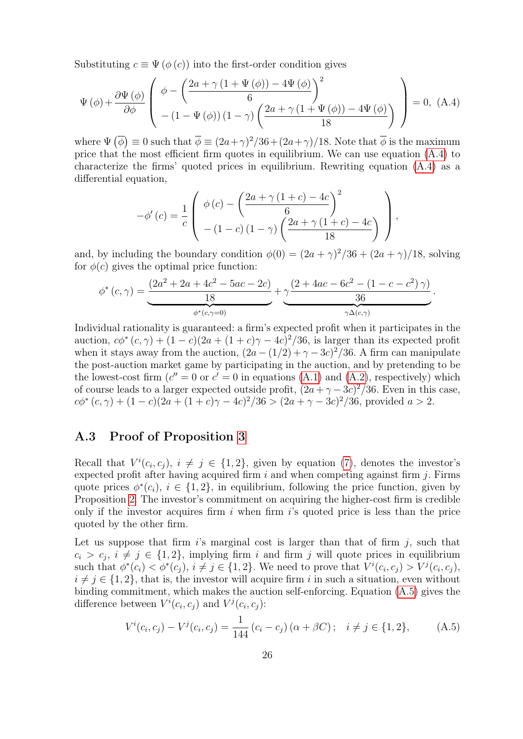Substituting  $c \equiv \Psi(\phi(c))$  into the first-order condition gives

$$
\Psi(\phi) + \frac{\partial \Psi(\phi)}{\partial \phi} \left( \begin{array}{c} \phi - \left( \frac{2a + \gamma \left( 1 + \Psi(\phi) \right) - 4\Psi(\phi)}{6} \right)^2 \\ - \left( 1 - \Psi(\phi) \right) \left( 1 - \gamma \right) \left( \frac{2a + \gamma \left( 1 + \Psi(\phi) \right) - 4\Psi(\phi)}{18} \right) \end{array} \right) = 0, (A.4)
$$

where  $\Psi(\overline{\phi}) \equiv 0$  such that  $\overline{\phi} \equiv (2a+\gamma)^2/36 + (2a+\gamma)/18$ . Note that  $\overline{\phi}$  is the maximum price that the most efficient firm quotes in equilibrium. We can use equation  $(A.4)$  to characterize the firms' quoted prices in equilibrium. Rewriting equation  $(A.4)$  as a differential equation,

$$
-\phi'(c) = \frac{1}{c} \left( \begin{array}{c} \phi(c) - \left( \frac{2a + \gamma(1+c) - 4c}{6} \right)^2 \\ - (1-c)(1-\gamma) \left( \frac{2a + \gamma(1+c) - 4c}{18} \right) \end{array} \right),
$$

and, by including the boundary condition  $\phi(0) = (2a + \gamma)^2/36 + (2a + \gamma)/18$ , solving for  $\phi(c)$  gives the optimal price function:

$$
\phi^*(c, \gamma) = \underbrace{\frac{(2a^2 + 2a + 4c^2 - 5ac - 2c)}{18}}_{\phi^*(c, \gamma = 0)} + \underbrace{\gamma \frac{(2 + 4ac - 6c^2 - (1 - c - c^2)\gamma)}{36}}_{\gamma \Delta(c, \gamma)}.
$$

Individual rationality is guaranteed: a firm's expected profit when it participates in the auction,  $c\phi^*(c, \gamma) + (1 - c)(2a + (1 + c)\gamma - 4c)^2/36$ , is larger than its expected profit when it stays away from the auction,  $(2a - (1/2) + \gamma - 3c)^2/36$ . A firm can manipulate the post-auction market game by participating in the auction, and by pretending to be the lowest-cost firm  $(c'' = 0$  or  $c' = 0$  in equations  $(\overline{A.1})$  and  $(\overline{A.2})$ , respectively) which of course leads to a larger expected outside profit,  $\sqrt{(2a + \gamma - 3c)^2/36}$ . Even in this case,  $c\phi^*(c, \gamma) + (1-c)(2a + (1+c)\gamma - 4c)^2/36 > (2a + \gamma - 3c)^2/36$ , provided  $a > 2$ .

### A.3 Proof of Proposition 3

Recall that  $V^{i}(c_i, c_j)$ ,  $i \neq j \in \{1, 2\}$ , given by equation  $\sqrt{7}$ , denotes the investor's expected profit after having acquired firm i and when competing against firm j. Firms quote prices  $\phi^*(c_i)$ ,  $i \in \{1,2\}$ , in equilibrium, following the price function, given by Proposition  $\boxed{2}$ . The investor's commitment on acquiring the higher-cost firm is credible only if the investor acquires firm  $i$  when firm  $i$ 's quoted price is less than the price quoted by the other firm.

Let us suppose that firm  $i$ 's marginal cost is larger than that of firm  $j$ , such that  $c_i > c_j, i \neq j \in \{1, 2\}$ , implying firm i and firm j will quote prices in equilibrium such that  $\phi^*(c_i) < \phi^*(c_j)$ ,  $i \neq j \in \{1, 2\}$ . We need to prove that  $V^i(c_i, c_j) > V^j(c_i, c_j)$ ,  $i \neq j \in \{1, 2\}$ , that is, the investor will acquire firm i in such a situation, even without binding commitment, which makes the auction self-enforcing. Equation (A.5) gives the difference between  $V^i(c_i, c_j)$  and  $V^j(c_i, c_j)$ :

$$
V^{i}(c_{i}, c_{j}) - V^{j}(c_{i}, c_{j}) = \frac{1}{144} (c_{i} - c_{j}) (\alpha + \beta C); \quad i \neq j \in \{1, 2\},
$$
 (A.5)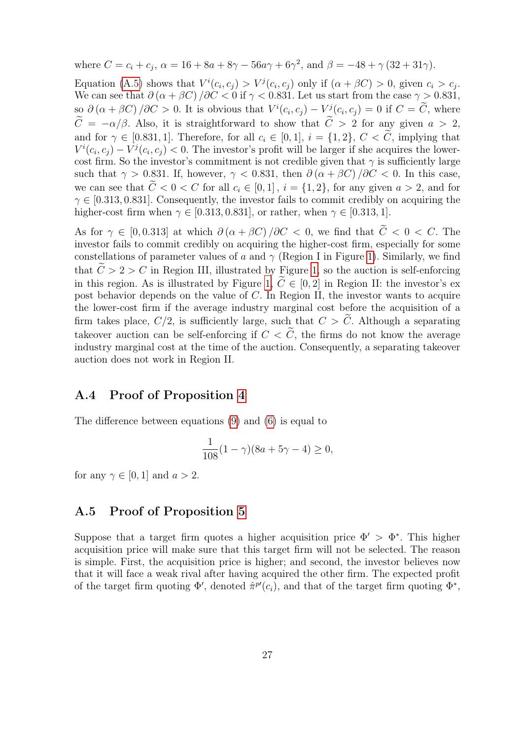where  $C = c_i + c_j$ ,  $\alpha = 16 + 8a + 8\gamma - 56a\gamma + 6\gamma^2$ , and  $\beta = -48 + \gamma (32 + 31\gamma)$ .

Equation  $\overline{(A.5)}$  shows that  $V^i(c_i, c_j) > V^j(c_i, c_j)$  only if  $(\alpha + \beta C) > 0$ , given  $c_i > c_j$ . We can see that  $\partial (\alpha + \beta C) / \partial C < 0$  if  $\gamma < 0.831$ . Let us start from the case  $\gamma > 0.831$ , so  $\partial (\alpha + \beta C) / \partial C > 0$ . It is obvious that  $V^{i}(c_i, c_j) - V^{j}(c_i, c_j) = 0$  if  $C = \tilde{C}$ , where  $\widetilde{C} = -\alpha/\beta$ . Also, it is straightforward to show that  $\widetilde{C} > 2$  for any given  $a > 2$ , and for  $\gamma \in [0.831, 1]$ . Therefore, for all  $c_i \in [0, 1]$ ,  $i = \{1, 2\}$ ,  $C < \tilde{C}$ , implying that  $V^i(c_i, c_j) - V^j(c_i, c_j) < 0$ . The investor's profit will be larger if she acquires the lowercost firm. So the investor's commitment is not credible given that  $\gamma$  is sufficiently large such that  $\gamma > 0.831$ . If, however,  $\gamma < 0.831$ , then  $\partial (\alpha + \beta C)/\partial C < 0$ . In this case, we can see that  $\widetilde{C} < 0 < C$  for all  $c_i \in [0,1]$ ,  $i = \{1,2\}$ , for any given  $a > 2$ , and for  $\gamma \in [0.313, 0.831]$ . Consequently, the investor fails to commit credibly on acquiring the higher-cost firm when  $\gamma \in [0.313, 0.831]$ , or rather, when  $\gamma \in [0.313, 1]$ .

As for  $\gamma \in [0, 0.313]$  at which  $\partial(\alpha + \beta C)/\partial C < 0$ , we find that  $\widetilde{C} < 0 < C$ . The investor fails to commit credibly on acquiring the higher-cost firm, especially for some constellations of parameter values of a and  $\gamma$  (Region I in Figure 1). Similarly, we find that  $\tilde{C} > 2 > C$  in Region III, illustrated by Figure 1, so the auction is self-enforcing in this region. As is illustrated by Figure  $\overline{1}$ ,  $\widetilde{C} \in [0, 2]$  in Region II: the investor's expost behavior depends on the value of  $C$ . In Region II, the investor wants to acquire the lower-cost firm if the average industry marginal cost before the acquisition of a firm takes place,  $C/2$ , is sufficiently large, such that  $C > C$ . Although a separating takeover auction can be self-enforcing if  $C < \tilde{C}$ , the firms do not know the average industry marginal cost at the time of the auction. Consequently, a separating takeover auction does not work in Region II.

### A.4 Proof of Proposition 4

The difference between equations (9) and (6) is equal to

$$
\frac{1}{108}(1-\gamma)(8a+5\gamma-4) \ge 0,
$$

for any  $\gamma \in [0, 1]$  and  $a > 2$ .

### A.5 Proof of Proposition 5

Suppose that a target firm quotes a higher acquisition price  $\Phi' > \Phi^*$ . This higher acquisition price will make sure that this target firm will not be selected. The reason is simple. First, the acquisition price is higher; and second, the investor believes now that it will face a weak rival after having acquired the other firm. The expected profit of the target firm quoting  $\Phi'$ , denoted  $\hat{\pi}^{p}(c_i)$ , and that of the target firm quoting  $\Phi^*$ ,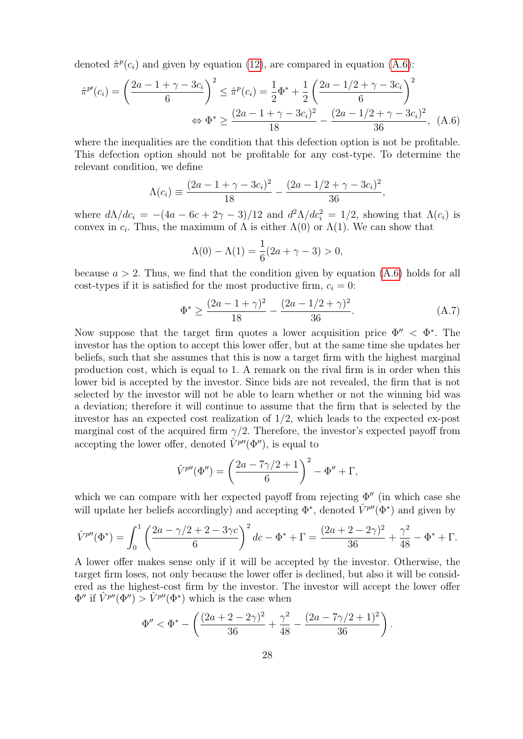denoted  $\hat{\pi}^p(c_i)$  and given by equation  $\langle 12 \rangle$ , are compared in equation  $\langle A.6 \rangle$ :

$$
\hat{\pi}^{p}(c_i) = \left(\frac{2a - 1 + \gamma - 3c_i}{6}\right)^2 \leq \hat{\pi}^p(c_i) = \frac{1}{2}\Phi^* + \frac{1}{2}\left(\frac{2a - 1/2 + \gamma - 3c_i}{6}\right)^2
$$

$$
\Leftrightarrow \Phi^* \geq \frac{(2a - 1 + \gamma - 3c_i)^2}{18} - \frac{(2a - 1/2 + \gamma - 3c_i)^2}{36}, \quad (A.6)
$$

where the inequalities are the condition that this defection option is not be profitable. This defection option should not be profitable for any cost-type. To determine the relevant condition, we define

$$
\Lambda(c_i) \equiv \frac{(2a - 1 + \gamma - 3c_i)^2}{18} - \frac{(2a - 1/2 + \gamma - 3c_i)^2}{36},
$$

where  $d\Lambda/dc_i = -(4a - 6c + 2\gamma - 3)/12$  and  $d^2\Lambda/dc_i^2 = 1/2$ , showing that  $\Lambda(c_i)$  is convex in  $c_i$ . Thus, the maximum of  $\Lambda$  is either  $\Lambda(0)$  or  $\Lambda(1)$ . We can show that

$$
\Lambda(0) - \Lambda(1) = \frac{1}{6}(2a + \gamma - 3) > 0,
$$

because  $a > 2$ . Thus, we find that the condition given by equation  $(A.6)$  holds for all cost-types if it is satisfied for the most productive firm,  $c_i = 0$ :

$$
\Phi^* \ge \frac{(2a - 1 + \gamma)^2}{18} - \frac{(2a - 1/2 + \gamma)^2}{36}.
$$
 (A.7)

Now suppose that the target firm quotes a lower acquisition price  $\Phi'' < \Phi^*$ . The investor has the option to accept this lower offer, but at the same time she updates her beliefs, such that she assumes that this is now a target firm with the highest marginal production cost, which is equal to 1. A remark on the rival firm is in order when this lower bid is accepted by the investor. Since bids are not revealed, the firm that is not selected by the investor will not be able to learn whether or not the winning bid was a deviation; therefore it will continue to assume that the firm that is selected by the investor has an expected cost realization of 1/2, which leads to the expected ex-post marginal cost of the acquired firm  $\gamma/2$ . Therefore, the investor's expected payoff from accepting the lower offer, denoted  $\hat{V}^{p}(\Phi'')$ , is equal to

$$
\hat{V}^{p\prime\prime}(\Phi^{\prime\prime}) = \left(\frac{2a - 7\gamma/2 + 1}{6}\right)^2 - \Phi^{\prime\prime} + \Gamma,
$$

which we can compare with her expected payoff from rejecting  $\Phi''$  (in which case she will update her beliefs accordingly) and accepting  $\Phi^*$ , denoted  $\hat{V}^{p\prime\prime}(\Phi^*)$  and given by

$$
\hat{V}^{p\prime\prime}(\Phi^*) = \int_0^1 \left(\frac{2a - \gamma/2 + 2 - 3\gamma c}{6}\right)^2 dc - \Phi^* + \Gamma = \frac{(2a + 2 - 2\gamma)^2}{36} + \frac{\gamma^2}{48} - \Phi^* + \Gamma.
$$

A lower offer makes sense only if it will be accepted by the investor. Otherwise, the target firm loses, not only because the lower offer is declined, but also it will be considered as the highest-cost firm by the investor. The investor will accept the lower offer  $\Phi''$  if  $\hat{V}^{p}(\Phi'') > \hat{V}^{p}(\Phi^*)$  which is the case when

$$
\Phi'' < \Phi^* - \left( \frac{(2a + 2 - 2\gamma)^2}{36} + \frac{\gamma^2}{48} - \frac{(2a - 7\gamma/2 + 1)^2}{36} \right).
$$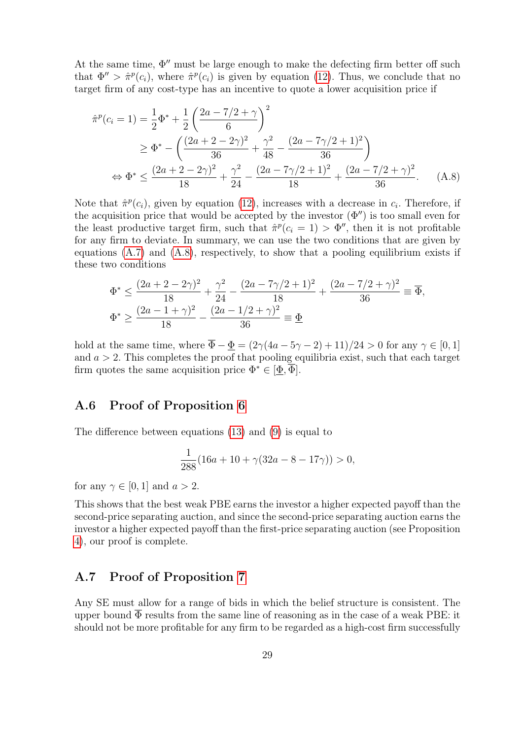At the same time,  $\Phi''$  must be large enough to make the defecting firm better off such that  $\Phi'' > \hat{\pi}^p(c_i)$ , where  $\hat{\pi}^p(c_i)$  is given by equation  $\sqrt{12}$ . Thus, we conclude that no target firm of any cost-type has an incentive to quote a lower acquisition price if

$$
\hat{\pi}^p(c_i = 1) = \frac{1}{2}\Phi^* + \frac{1}{2}\left(\frac{2a - 7/2 + \gamma}{6}\right)^2
$$
  
\n
$$
\geq \Phi^* - \left(\frac{(2a + 2 - 2\gamma)^2}{36} + \frac{\gamma^2}{48} - \frac{(2a - 7\gamma/2 + 1)^2}{36}\right)
$$
  
\n
$$
\Leftrightarrow \Phi^* \leq \frac{(2a + 2 - 2\gamma)^2}{18} + \frac{\gamma^2}{24} - \frac{(2a - 7\gamma/2 + 1)^2}{18} + \frac{(2a - 7/2 + \gamma)^2}{36}.
$$
 (A.8)

Note that  $\hat{\pi}^p(c_i)$ , given by equation  $\langle \overline{12} \rangle$ , increases with a decrease in  $c_i$ . Therefore, if the acquisition price that would be accepted by the investor  $(\Phi'')$  is too small even for the least productive target firm, such that  $\hat{\pi}^p(c_i = 1) > \Phi''$ , then it is not profitable for any firm to deviate. In summary, we can use the two conditions that are given by equations  $(A.\overline{7})$  and  $(A.\overline{8})$ , respectively, to show that a pooling equilibrium exists if these two conditions

$$
\Phi^* \le \frac{(2a+2-2\gamma)^2}{18} + \frac{\gamma^2}{24} - \frac{(2a-7\gamma/2+1)^2}{18} + \frac{(2a-7/2+\gamma)^2}{36} \equiv \overline{\Phi},
$$
  

$$
\Phi^* \ge \frac{(2a-1+\gamma)^2}{18} - \frac{(2a-1/2+\gamma)^2}{36} \equiv \underline{\Phi}
$$

hold at the same time, where  $\overline{\Phi} - \underline{\Phi} = (2\gamma(4a - 5\gamma - 2) + 11)/24 > 0$  for any  $\gamma \in [0, 1]$ and  $a > 2$ . This completes the proof that pooling equilibria exist, such that each target firm quotes the same acquisition price  $\Phi^* \in [\underline{\Phi}, \overline{\Phi}].$ 

### A.6 Proof of Proposition 6

The difference between equations  $(13)$  and  $(9)$  is equal to

$$
\frac{1}{288}(16a + 10 + \gamma(32a - 8 - 17\gamma)) > 0,
$$

for any  $\gamma \in [0, 1]$  and  $a > 2$ .

This shows that the best weak PBE earns the investor a higher expected payoff than the second-price separating auction, and since the second-price separating auction earns the investor a higher expected payoff than the first-price separating auction (see Proposition 4), our proof is complete.

### A.7 Proof of Proposition  $\overline{7}$

Any SE must allow for a range of bids in which the belief structure is consistent. The upper bound  $\overline{\Phi}$  results from the same line of reasoning as in the case of a weak PBE: it should not be more profitable for any firm to be regarded as a high-cost firm successfully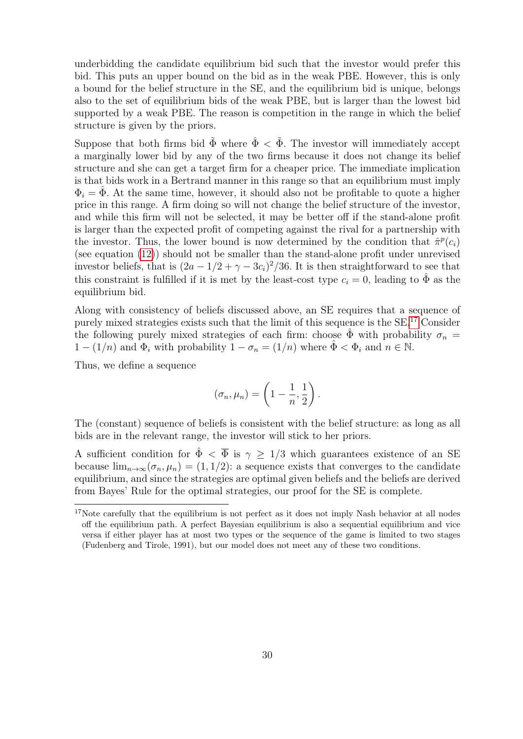underbidding the candidate equilibrium bid such that the investor would prefer this bid. This puts an upper bound on the bid as in the weak PBE. However, this is only a bound for the belief structure in the SE, and the equilibrium bid is unique, belongs also to the set of equilibrium bids of the weak PBE, but is larger than the lowest bid supported by a weak PBE. The reason is competition in the range in which the belief structure is given by the priors.

Suppose that both firms bid  $\tilde{\Phi}$  where  $\tilde{\Phi} < \tilde{\Phi}$ . The investor will immediately accept a marginally lower bid by any of the two firms because it does not change its belief structure and she can get a target firm for a cheaper price. The immediate implication is that bids work in a Bertrand manner in this range so that an equilibrium must imply  $\Phi_i = \Phi$ . At the same time, however, it should also not be profitable to quote a higher price in this range. A firm doing so will not change the belief structure of the investor, and while this firm will not be selected, it may be better off if the stand-alone profit is larger than the expected profit of competing against the rival for a partnership with the investor. Thus, the lower bound is now determined by the condition that  $\hat{\pi}^p(c_i)$ (see equation  $(12)$ ) should not be smaller than the stand-alone profit under unrevised investor beliefs, that is  $(2a - 1/2 + \gamma - 3c_i)^2/36$ . It is then straightforward to see that this constraint is fulfilled if it is met by the least-cost type  $c_i = 0$ , leading to  $\hat{\Phi}$  as the equilibrium bid.

Along with consistency of beliefs discussed above, an SE requires that a sequence of purely mixed strategies exists such that the limit of this sequence is the  $SE^{177}$  Consider the following purely mixed strategies of each firm: choose  $\hat{\Phi}$  with probability  $\sigma_n =$  $1 - (1/n)$  and  $\Phi_i$  with probability  $1 - \sigma_n = (1/n)$  where  $\hat{\Phi} < \Phi_i$  and  $n \in \mathbb{N}$ .

Thus, we define a sequence

$$
(\sigma_n,\mu_n)=\left(1-\frac{1}{n},\frac{1}{2}\right).
$$

The (constant) sequence of beliefs is consistent with the belief structure: as long as all bids are in the relevant range, the investor will stick to her priors.

A sufficient condition for  $\hat{\Phi} < \overline{\Phi}$  is  $\gamma \geq 1/3$  which guarantees existence of an SE because  $\lim_{n\to\infty}(\sigma_n,\mu_n)=(1,1/2)$ : a sequence exists that converges to the candidate equilibrium, and since the strategies are optimal given beliefs and the beliefs are derived from Bayes' Rule for the optimal strategies, our proof for the SE is complete.

<sup>&</sup>lt;sup>17</sup>Note carefully that the equilibrium is not perfect as it does not imply Nash behavior at all nodes off the equilibrium path. A perfect Bayesian equilibrium is also a sequential equilibrium and vice versa if either player has at most two types or the sequence of the game is limited to two stages (Fudenberg and Tirole, 1991), but our model does not meet any of these two conditions.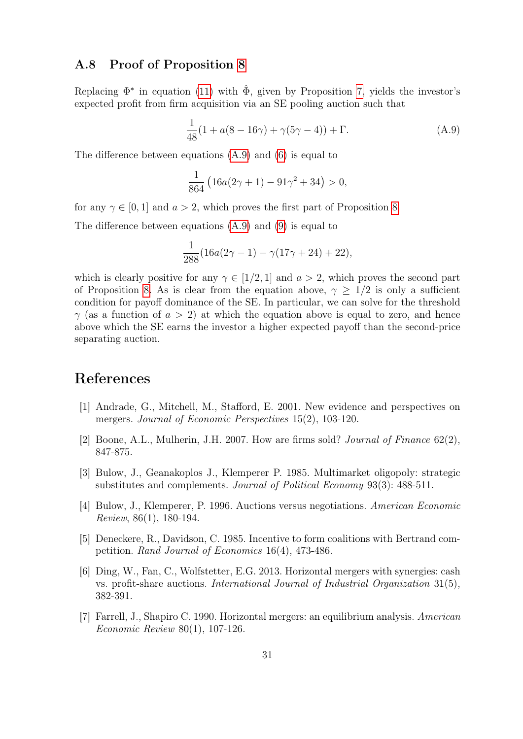### A.8 Proof of Proposition 8

Replacing  $\Phi^*$  in equation  $(11)$  with  $\hat{\Phi}$ , given by Proposition  $\overline{7}$ , yields the investor's expected profit from firm acquisition via an SE pooling auction such that

$$
\frac{1}{48}(1 + a(8 - 16\gamma) + \gamma(5\gamma - 4)) + \Gamma.
$$
 (A.9)

The difference between equations  $(A.9)$  and  $(6)$  is equal to

$$
\frac{1}{864} \left( 16a(2\gamma + 1) - 91\gamma^2 + 34 \right) > 0,
$$

for any  $\gamma \in [0, 1]$  and  $a > 2$ , which proves the first part of Proposition  $\boxed{8}$ .

The difference between equations  $(A.9)$  and  $(9)$  is equal to

$$
\frac{1}{288}(16a(2\gamma - 1) - \gamma(17\gamma + 24) + 22),
$$

which is clearly positive for any  $\gamma \in [1/2, 1]$  and  $a > 2$ , which proves the second part of Proposition 8. As is clear from the equation above,  $\gamma > 1/2$  is only a sufficient condition for payoff dominance of the SE. In particular, we can solve for the threshold  $\gamma$  (as a function of  $a > 2$ ) at which the equation above is equal to zero, and hence above which the SE earns the investor a higher expected payoff than the second-price separating auction.

## References

- [1] Andrade, G., Mitchell, M., Stafford, E. 2001. New evidence and perspectives on mergers. Journal of Economic Perspectives 15(2), 103-120.
- [2] Boone, A.L., Mulherin, J.H. 2007. How are firms sold? Journal of Finance 62(2), 847-875.
- [3] Bulow, J., Geanakoplos J., Klemperer P. 1985. Multimarket oligopoly: strategic substitutes and complements. Journal of Political Economy 93(3): 488-511.
- [4] Bulow, J., Klemperer, P. 1996. Auctions versus negotiations. American Economic Review, 86(1), 180-194.
- [5] Deneckere, R., Davidson, C. 1985. Incentive to form coalitions with Bertrand competition. Rand Journal of Economics 16(4), 473-486.
- [6] Ding, W., Fan, C., Wolfstetter, E.G. 2013. Horizontal mergers with synergies: cash vs. profit-share auctions. International Journal of Industrial Organization 31(5), 382-391.
- [7] Farrell, J., Shapiro C. 1990. Horizontal mergers: an equilibrium analysis. American Economic Review 80(1), 107-126.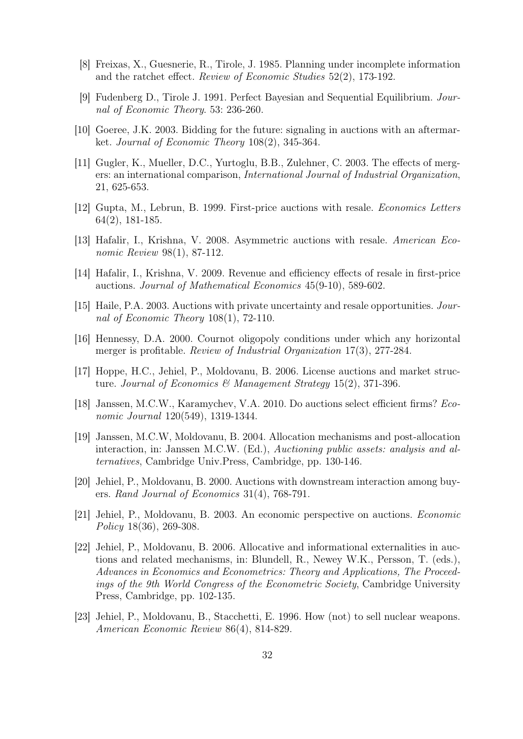- [8] Freixas, X., Guesnerie, R., Tirole, J. 1985. Planning under incomplete information and the ratchet effect. Review of Economic Studies 52(2), 173-192.
- [9] Fudenberg D., Tirole J. 1991. Perfect Bayesian and Sequential Equilibrium. Journal of Economic Theory. 53: 236-260.
- [10] Goeree, J.K. 2003. Bidding for the future: signaling in auctions with an aftermarket. Journal of Economic Theory 108(2), 345-364.
- [11] Gugler, K., Mueller, D.C., Yurtoglu, B.B., Zulehner, C. 2003. The effects of mergers: an international comparison, International Journal of Industrial Organization, 21, 625-653.
- [12] Gupta, M., Lebrun, B. 1999. First-price auctions with resale. Economics Letters 64(2), 181-185.
- [13] Hafalir, I., Krishna, V. 2008. Asymmetric auctions with resale. American Economic Review 98(1), 87-112.
- [14] Hafalir, I., Krishna, V. 2009. Revenue and efficiency effects of resale in first-price auctions. Journal of Mathematical Economics 45(9-10), 589-602.
- [15] Haile, P.A. 2003. Auctions with private uncertainty and resale opportunities. Journal of Economic Theory 108(1), 72-110.
- [16] Hennessy, D.A. 2000. Cournot oligopoly conditions under which any horizontal merger is profitable. *Review of Industrial Organization 17(3)*, 277-284.
- [17] Hoppe, H.C., Jehiel, P., Moldovanu, B. 2006. License auctions and market structure. Journal of Economics & Management Strategy 15(2), 371-396.
- [18] Janssen, M.C.W., Karamychev, V.A. 2010. Do auctions select efficient firms? Economic Journal 120(549), 1319-1344.
- [19] Janssen, M.C.W, Moldovanu, B. 2004. Allocation mechanisms and post-allocation interaction, in: Janssen M.C.W. (Ed.), Auctioning public assets: analysis and alternatives, Cambridge Univ.Press, Cambridge, pp. 130-146.
- [20] Jehiel, P., Moldovanu, B. 2000. Auctions with downstream interaction among buyers. Rand Journal of Economics 31(4), 768-791.
- [21] Jehiel, P., Moldovanu, B. 2003. An economic perspective on auctions. Economic Policy 18(36), 269-308.
- [22] Jehiel, P., Moldovanu, B. 2006. Allocative and informational externalities in auctions and related mechanisms, in: Blundell, R., Newey W.K., Persson, T. (eds.), Advances in Economics and Econometrics: Theory and Applications, The Proceedings of the 9th World Congress of the Econometric Society, Cambridge University Press, Cambridge, pp. 102-135.
- [23] Jehiel, P., Moldovanu, B., Stacchetti, E. 1996. How (not) to sell nuclear weapons. American Economic Review 86(4), 814-829.